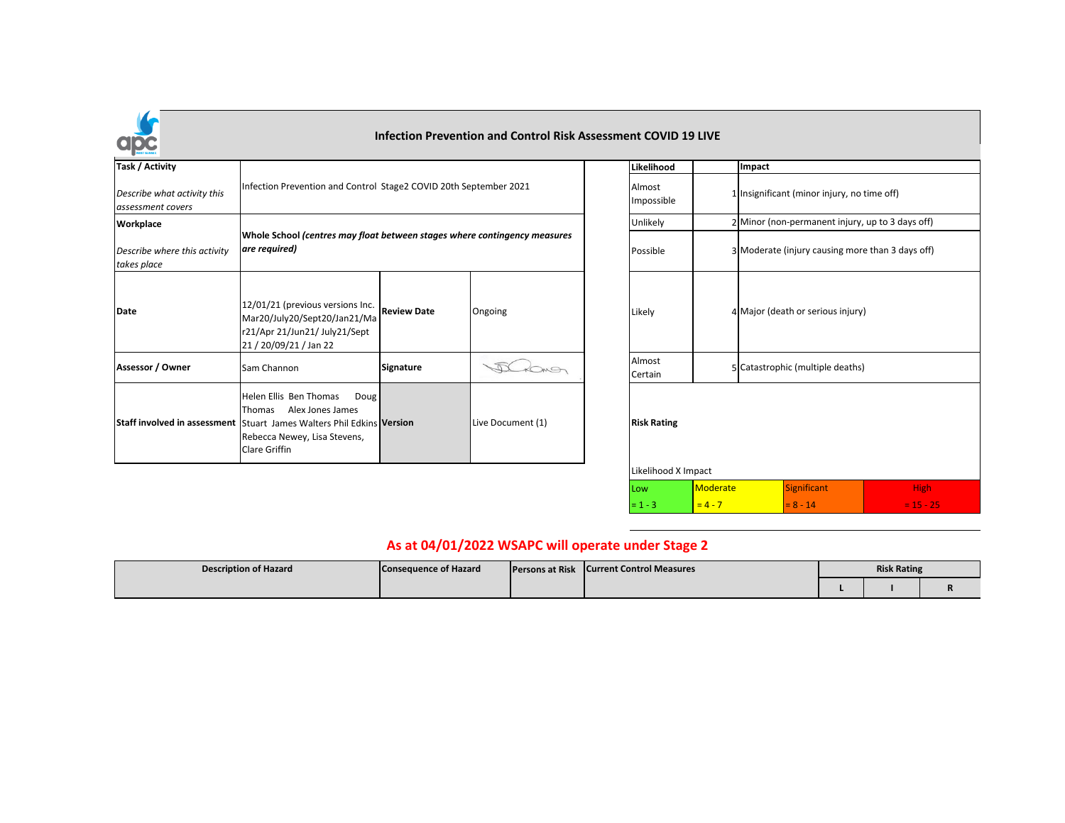

## **Infection Prevention and Control Risk Assessment COVID 19 LIVE**

| Task / Activity                                  |                                                                                                                                                                                        |                    |                   | Likelihood           | Impact                              |
|--------------------------------------------------|----------------------------------------------------------------------------------------------------------------------------------------------------------------------------------------|--------------------|-------------------|----------------------|-------------------------------------|
| Describe what activity this<br>assessment covers | Infection Prevention and Control Stage2 COVID 20th September 2021                                                                                                                      |                    |                   | Almost<br>Impossible | 1 Insignificant (minor injury, no t |
| Workplace                                        |                                                                                                                                                                                        |                    |                   | Unlikely             | 2 Minor (non-permanent injury,      |
| Describe where this activity<br>takes place      | Whole School (centres may float between stages where contingency measures<br>are required)                                                                                             |                    |                   | Possible             | 3 Moderate (injury causing more     |
| Date                                             | 12/01/21 (previous versions Inc.<br>Mar20/July20/Sept20/Jan21/Ma<br>r21/Apr 21/Jun21/ July21/Sept<br>21 / 20/09/21 / Jan 22                                                            | <b>Review Date</b> | Ongoing           | Likely               | 4 Major (death or serious injury)   |
| Assessor / Owner                                 | Sam Channon                                                                                                                                                                            | Signature          |                   | Almost<br>Certain    | 5 Catastrophic (multiple deaths)    |
|                                                  | Helen Ellis Ben Thomas<br>Doug<br>Thomas<br>Alex Jones James<br>Staff involved in assessment Stuart James Walters Phil Edkins Version<br>Rebecca Newey, Lisa Stevens,<br>Clare Griffin |                    | Live Document (1) | <b>Risk Rating</b>   |                                     |

| Likelihood                                |                 | Impact |                                                  |             |  |  |  |  |  |
|-------------------------------------------|-----------------|--------|--------------------------------------------------|-------------|--|--|--|--|--|
| Almost<br>Impossible                      |                 |        | 1 Insignificant (minor injury, no time off)      |             |  |  |  |  |  |
| Unlikely                                  |                 |        | 2 Minor (non-permanent injury, up to 3 days off) |             |  |  |  |  |  |
| Possible                                  |                 |        | 3 Moderate (injury causing more than 3 days off) |             |  |  |  |  |  |
| Likely                                    |                 |        | 4 Major (death or serious injury)                |             |  |  |  |  |  |
| Almost<br>Certain                         |                 |        | 5 Catastrophic (multiple deaths)                 |             |  |  |  |  |  |
| <b>Risk Rating</b><br>Likelihood X Impact |                 |        |                                                  |             |  |  |  |  |  |
| Low                                       | <b>Moderate</b> |        | <b>Significant</b>                               | <b>High</b> |  |  |  |  |  |
| $= 1 - 3$                                 | $= 4 - 7$       |        | $= 8 - 14$                                       | $= 15 - 25$ |  |  |  |  |  |

## **As at 04/01/2022 WSAPC will operate under Stage 2**

| <b>Description of Hazard</b> | Consequence of Hazard | <b>Persons at Risk</b> | <b>Current Control Measures</b> | <b>Risk Rating</b> |  |          |
|------------------------------|-----------------------|------------------------|---------------------------------|--------------------|--|----------|
|                              |                       |                        |                                 |                    |  | $\cdots$ |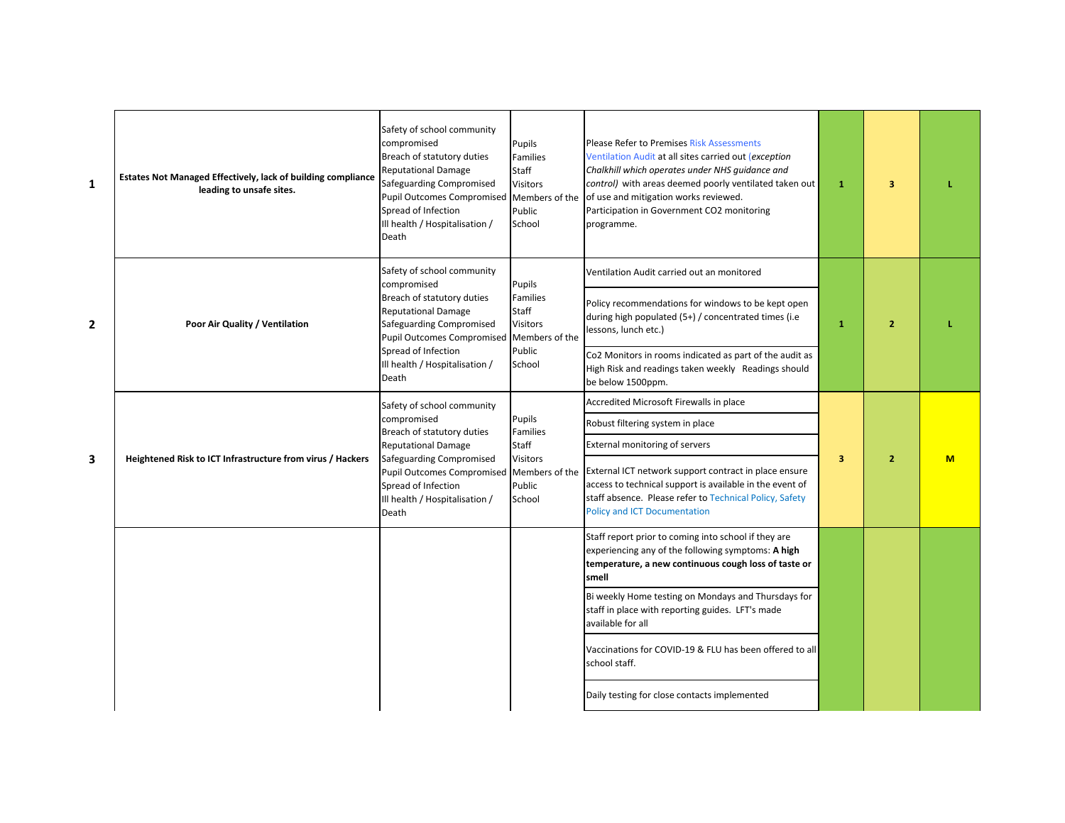| $\mathbf{1}$   | Estates Not Managed Effectively, lack of building compliance<br>leading to unsafe sites. | Safety of school community<br>compromised<br>Breach of statutory duties<br><b>Reputational Damage</b><br>Safeguarding Compromised<br><b>Pupil Outcomes Compromised</b><br>Spread of Infection<br>Ill health / Hospitalisation /<br>Death | Pupils<br>Families<br>Staff<br><b>Visitors</b><br>Members of the<br>Public<br>School | <b>Please Refer to Premises Risk Assessments</b><br>Ventilation Audit at all sites carried out (exception<br>Chalkhill which operates under NHS quidance and<br>control) with areas deemed poorly ventilated taken out<br>of use and mitigation works reviewed.<br>Participation in Government CO2 monitoring<br>programme. | $\mathbf{1}$ | 3              |     |
|----------------|------------------------------------------------------------------------------------------|------------------------------------------------------------------------------------------------------------------------------------------------------------------------------------------------------------------------------------------|--------------------------------------------------------------------------------------|-----------------------------------------------------------------------------------------------------------------------------------------------------------------------------------------------------------------------------------------------------------------------------------------------------------------------------|--------------|----------------|-----|
|                |                                                                                          | Safety of school community<br>compromised                                                                                                                                                                                                | Pupils                                                                               | Ventilation Audit carried out an monitored                                                                                                                                                                                                                                                                                  |              |                |     |
| $\overline{2}$ | Poor Air Quality / Ventilation                                                           | Breach of statutory duties<br><b>Reputational Damage</b><br>Safeguarding Compromised<br><b>Pupil Outcomes Compromised</b><br>Spread of Infection<br>Ill health / Hospitalisation /<br>Death                                              | Families<br>Staff<br><b>Visitors</b><br>Members of the                               | Policy recommendations for windows to be kept open<br>during high populated (5+) / concentrated times (i.e<br>lessons, lunch etc.)                                                                                                                                                                                          | $\mathbf{1}$ | $\overline{2}$ |     |
|                |                                                                                          |                                                                                                                                                                                                                                          | Public<br>School                                                                     | Co2 Monitors in rooms indicated as part of the audit as<br>High Risk and readings taken weekly Readings should<br>be below 1500ppm.                                                                                                                                                                                         |              |                |     |
|                |                                                                                          | Safety of school community                                                                                                                                                                                                               |                                                                                      | Accredited Microsoft Firewalls in place                                                                                                                                                                                                                                                                                     |              |                |     |
|                |                                                                                          | compromised<br>Breach of statutory duties                                                                                                                                                                                                | Pupils<br>Families                                                                   | Robust filtering system in place                                                                                                                                                                                                                                                                                            |              |                |     |
|                |                                                                                          | <b>Reputational Damage</b>                                                                                                                                                                                                               | Staff                                                                                | <b>External monitoring of servers</b>                                                                                                                                                                                                                                                                                       |              |                |     |
| 3              | Heightened Risk to ICT Infrastructure from virus / Hackers                               | Safeguarding Compromised<br><b>Pupil Outcomes Compromised</b><br>Spread of Infection<br>Ill health / Hospitalisation /<br>Death                                                                                                          | <b>Visitors</b><br>Members of the<br>Public<br>School                                | External ICT network support contract in place ensure<br>access to technical support is available in the event of<br>staff absence. Please refer to Technical Policy, Safety<br><b>Policy and ICT Documentation</b>                                                                                                         | 3            | $\overline{2}$ | $M$ |
|                |                                                                                          |                                                                                                                                                                                                                                          |                                                                                      | Staff report prior to coming into school if they are<br>experiencing any of the following symptoms: A high<br>temperature, a new continuous cough loss of taste or<br>smell                                                                                                                                                 |              |                |     |
|                |                                                                                          |                                                                                                                                                                                                                                          |                                                                                      | Bi weekly Home testing on Mondays and Thursdays for<br>staff in place with reporting guides. LFT's made<br>available for all                                                                                                                                                                                                |              |                |     |
|                |                                                                                          |                                                                                                                                                                                                                                          |                                                                                      | Vaccinations for COVID-19 & FLU has been offered to all<br>school staff.                                                                                                                                                                                                                                                    |              |                |     |
|                |                                                                                          |                                                                                                                                                                                                                                          |                                                                                      | Daily testing for close contacts implemented                                                                                                                                                                                                                                                                                |              |                |     |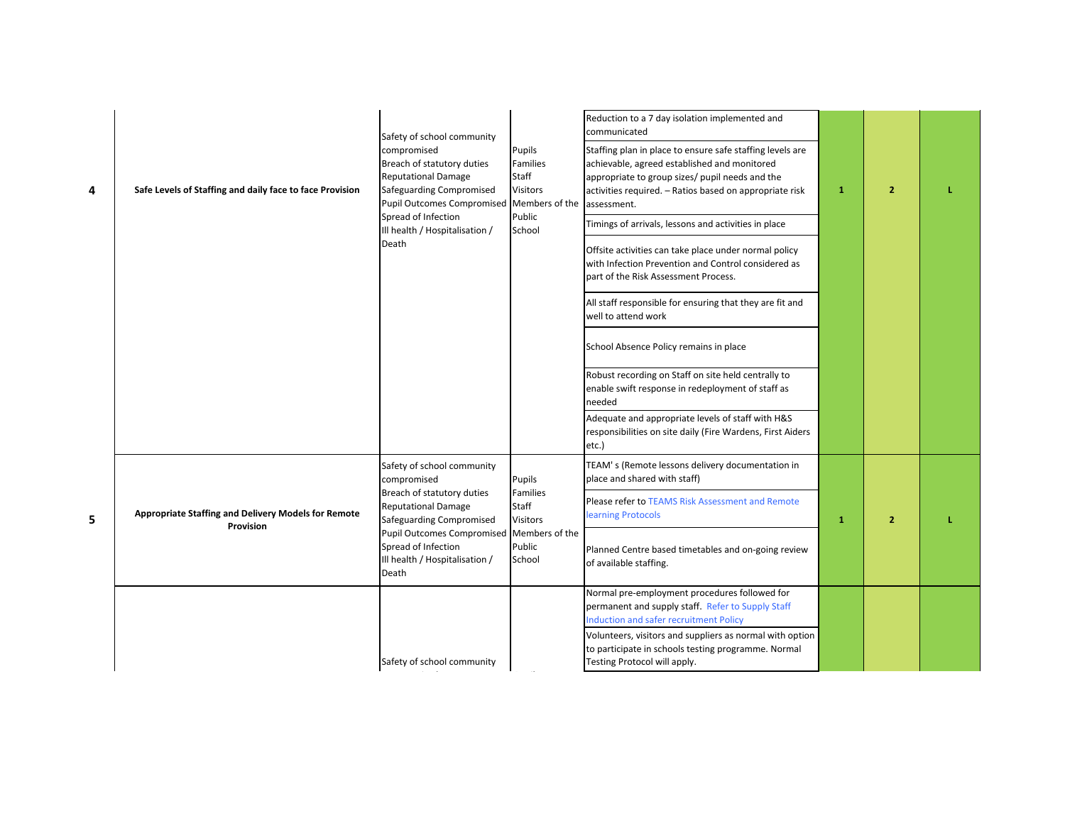| 4 | Safe Levels of Staffing and daily face to face Provision | Safety of school community<br>compromised<br>Breach of statutory duties<br><b>Reputational Damage</b><br>Safeguarding Compromised<br><b>Pupil Outcomes Compromised</b><br>Spread of Infection<br>Ill health / Hospitalisation /<br>Death | Pupils<br>Families<br>Staff<br><b>Visitors</b><br>Members of the<br>Public<br>School | Reduction to a 7 day isolation implemented and<br>communicated<br>Staffing plan in place to ensure safe staffing levels are<br>achievable, agreed established and monitored<br>appropriate to group sizes/ pupil needs and the<br>activities required. - Ratios based on appropriate risk<br>assessment.<br>Timings of arrivals, lessons and activities in place<br>Offsite activities can take place under normal policy<br>with Infection Prevention and Control considered as<br>part of the Risk Assessment Process.<br>All staff responsible for ensuring that they are fit and<br>well to attend work<br>School Absence Policy remains in place<br>Robust recording on Staff on site held centrally to<br>enable swift response in redeployment of staff as<br>needed<br>Adequate and appropriate levels of staff with H&S<br>responsibilities on site daily (Fire Wardens, First Aiders | $\mathbf{1}$ | $\overline{2}$ |  |
|---|----------------------------------------------------------|------------------------------------------------------------------------------------------------------------------------------------------------------------------------------------------------------------------------------------------|--------------------------------------------------------------------------------------|------------------------------------------------------------------------------------------------------------------------------------------------------------------------------------------------------------------------------------------------------------------------------------------------------------------------------------------------------------------------------------------------------------------------------------------------------------------------------------------------------------------------------------------------------------------------------------------------------------------------------------------------------------------------------------------------------------------------------------------------------------------------------------------------------------------------------------------------------------------------------------------------|--------------|----------------|--|
|   |                                                          | Safety of school community<br>compromised                                                                                                                                                                                                | Pupils                                                                               | etc.)<br>TEAM's (Remote lessons delivery documentation in<br>place and shared with staff)                                                                                                                                                                                                                                                                                                                                                                                                                                                                                                                                                                                                                                                                                                                                                                                                      |              |                |  |
| 5 | Appropriate Staffing and Delivery Models for Remote      | Breach of statutory duties<br><b>Reputational Damage</b><br>Safeguarding Compromised                                                                                                                                                     | Families<br>Staff<br>Visitors                                                        | Please refer to TEAMS Risk Assessment and Remote<br>learning Protocols                                                                                                                                                                                                                                                                                                                                                                                                                                                                                                                                                                                                                                                                                                                                                                                                                         | $\mathbf{1}$ | $\overline{2}$ |  |
|   | Provision                                                | <b>Pupil Outcomes Compromised</b><br>Spread of Infection<br>Ill health / Hospitalisation /<br>Death                                                                                                                                      | Members of the<br>Public<br>School                                                   | Planned Centre based timetables and on-going review<br>of available staffing.                                                                                                                                                                                                                                                                                                                                                                                                                                                                                                                                                                                                                                                                                                                                                                                                                  |              |                |  |
|   |                                                          |                                                                                                                                                                                                                                          |                                                                                      | Normal pre-employment procedures followed for<br>permanent and supply staff. Refer to Supply Staff<br>Induction and safer recruitment Policy                                                                                                                                                                                                                                                                                                                                                                                                                                                                                                                                                                                                                                                                                                                                                   |              |                |  |
|   |                                                          | Safety of school community                                                                                                                                                                                                               |                                                                                      | Volunteers, visitors and suppliers as normal with option<br>to participate in schools testing programme. Normal<br>Testing Protocol will apply.                                                                                                                                                                                                                                                                                                                                                                                                                                                                                                                                                                                                                                                                                                                                                |              |                |  |

compromised Pupils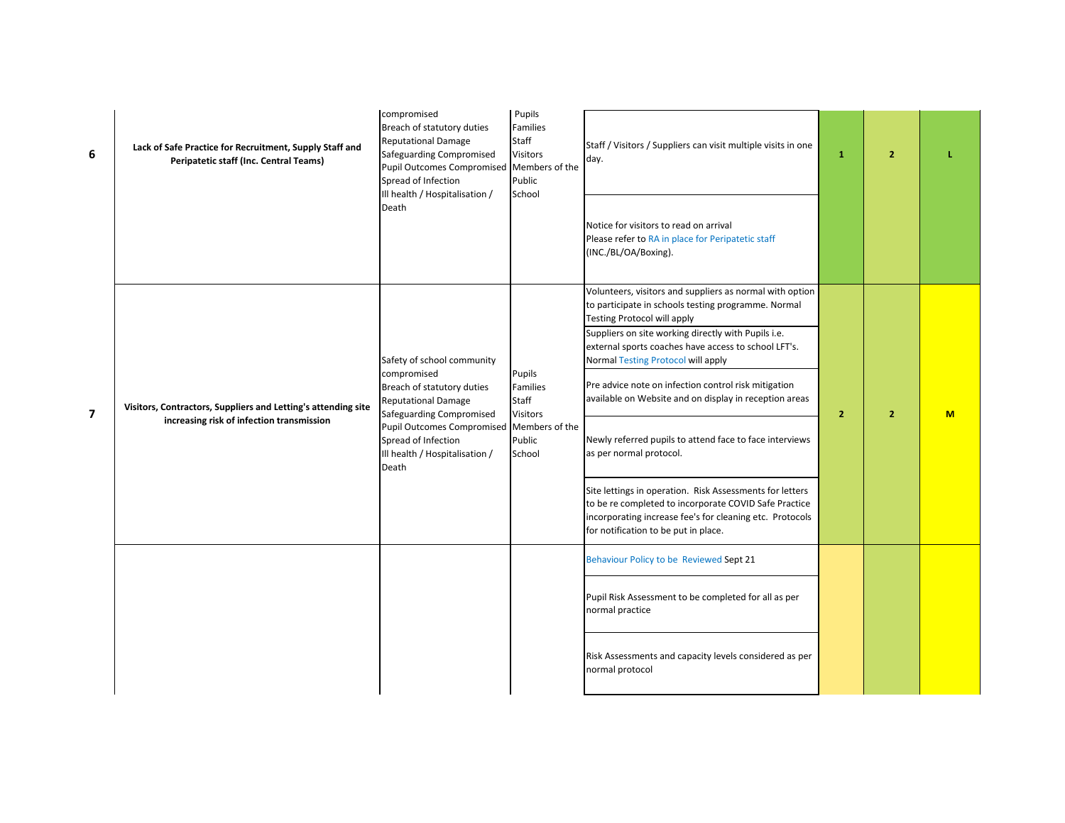| 6              | Lack of Safe Practice for Recruitment, Supply Staff and<br>Peripatetic staff (Inc. Central Teams)          | compromised<br>Breach of statutory duties<br><b>Reputational Damage</b><br>Safeguarding Compromised<br><b>Pupil Outcomes Compromised</b><br>Spread of Infection<br>Ill health / Hospitalisation /<br>Death                               | Pupils<br>Families<br>Staff<br>Visitors<br>Members of the<br>Public<br>School | Staff / Visitors / Suppliers can visit multiple visits in one<br>day.<br>Notice for visitors to read on arrival<br>Please refer to RA in place for Peripatetic staff<br>(INC./BL/OA/Boxing).                          | $\mathbf{1}$   | $\overline{2}$ |   |
|----------------|------------------------------------------------------------------------------------------------------------|------------------------------------------------------------------------------------------------------------------------------------------------------------------------------------------------------------------------------------------|-------------------------------------------------------------------------------|-----------------------------------------------------------------------------------------------------------------------------------------------------------------------------------------------------------------------|----------------|----------------|---|
|                |                                                                                                            |                                                                                                                                                                                                                                          |                                                                               | Volunteers, visitors and suppliers as normal with option<br>to participate in schools testing programme. Normal<br>Testing Protocol will apply                                                                        |                |                |   |
|                | Visitors, Contractors, Suppliers and Letting's attending site<br>increasing risk of infection transmission | Safety of school community<br>compromised<br>Breach of statutory duties<br><b>Reputational Damage</b><br>Safeguarding Compromised<br><b>Pupil Outcomes Compromised</b><br>Spread of Infection<br>Ill health / Hospitalisation /<br>Death | Pupils<br>Families<br>Staff<br>Visitors                                       | Suppliers on site working directly with Pupils i.e.<br>external sports coaches have access to school LFT's.<br>Normal Testing Protocol will apply                                                                     |                |                |   |
| $\overline{7}$ |                                                                                                            |                                                                                                                                                                                                                                          |                                                                               | Pre advice note on infection control risk mitigation<br>available on Website and on display in reception areas                                                                                                        | $\overline{2}$ | $\overline{2}$ | M |
|                |                                                                                                            |                                                                                                                                                                                                                                          | Members of the<br>Public<br>School                                            | Newly referred pupils to attend face to face interviews<br>as per normal protocol.                                                                                                                                    |                |                |   |
|                |                                                                                                            |                                                                                                                                                                                                                                          |                                                                               | Site lettings in operation. Risk Assessments for letters<br>to be re completed to incorporate COVID Safe Practice<br>incorporating increase fee's for cleaning etc. Protocols<br>for notification to be put in place. |                |                |   |
|                |                                                                                                            |                                                                                                                                                                                                                                          |                                                                               | Behaviour Policy to be Reviewed Sept 21                                                                                                                                                                               |                |                |   |
|                |                                                                                                            |                                                                                                                                                                                                                                          |                                                                               | Pupil Risk Assessment to be completed for all as per<br>normal practice                                                                                                                                               |                |                |   |
|                |                                                                                                            |                                                                                                                                                                                                                                          |                                                                               | Risk Assessments and capacity levels considered as per<br>normal protocol                                                                                                                                             |                |                |   |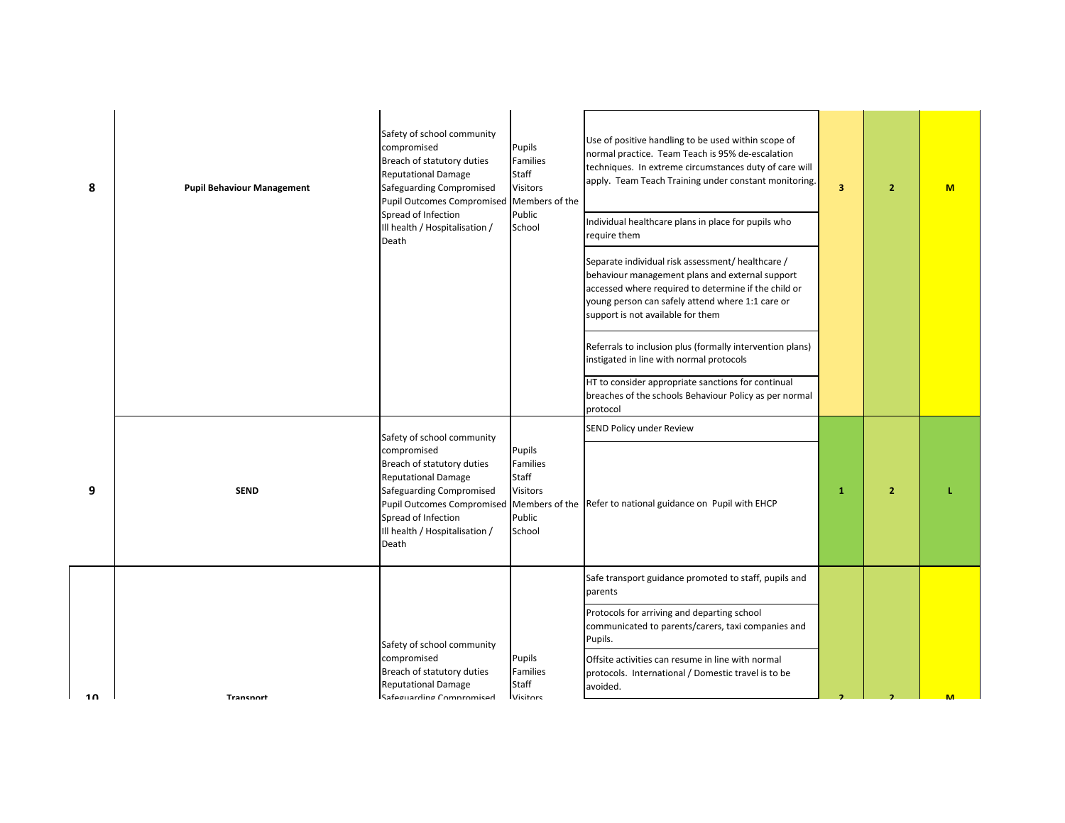| 8   | <b>Pupil Behaviour Management</b> | Safety of school community<br>compromised<br>Breach of statutory duties<br><b>Reputational Damage</b><br>Safeguarding Compromised<br>Pupil Outcomes Compromised Members of the<br>Spread of Infection<br>Ill health / Hospitalisation /<br>Death | Pupils<br>Families<br>Staff<br><b>Visitors</b><br>Public<br>School | Use of positive handling to be used within scope of<br>normal practice. Team Teach is 95% de-escalation<br>techniques. In extreme circumstances duty of care will<br>apply. Team Teach Training under constant monitoring.<br>Individual healthcare plans in place for pupils who<br>require them<br>Separate individual risk assessment/ healthcare /<br>behaviour management plans and external support<br>accessed where required to determine if the child or<br>young person can safely attend where 1:1 care or<br>support is not available for them | $\overline{\mathbf{3}}$ | $\overline{2}$ | <b>M</b> |
|-----|-----------------------------------|--------------------------------------------------------------------------------------------------------------------------------------------------------------------------------------------------------------------------------------------------|--------------------------------------------------------------------|------------------------------------------------------------------------------------------------------------------------------------------------------------------------------------------------------------------------------------------------------------------------------------------------------------------------------------------------------------------------------------------------------------------------------------------------------------------------------------------------------------------------------------------------------------|-------------------------|----------------|----------|
|     |                                   |                                                                                                                                                                                                                                                  |                                                                    | Referrals to inclusion plus (formally intervention plans)<br>instigated in line with normal protocols                                                                                                                                                                                                                                                                                                                                                                                                                                                      |                         |                |          |
|     |                                   |                                                                                                                                                                                                                                                  |                                                                    | HT to consider appropriate sanctions for continual<br>breaches of the schools Behaviour Policy as per normal<br>protocol                                                                                                                                                                                                                                                                                                                                                                                                                                   |                         |                |          |
|     |                                   | Safety of school community                                                                                                                                                                                                                       |                                                                    | SEND Policy under Review                                                                                                                                                                                                                                                                                                                                                                                                                                                                                                                                   |                         |                |          |
| 9   | <b>SEND</b>                       | compromised<br>Breach of statutory duties<br><b>Reputational Damage</b><br>Safeguarding Compromised<br>Pupil Outcomes Compromised Members of the<br>Spread of Infection<br>Ill health / Hospitalisation /<br>Death                               | Pupils<br>Families<br>Staff<br><b>Visitors</b><br>Public<br>School | Refer to national guidance on Pupil with EHCP                                                                                                                                                                                                                                                                                                                                                                                                                                                                                                              | $\mathbf{1}$            | $\overline{2}$ |          |
|     |                                   |                                                                                                                                                                                                                                                  |                                                                    | Safe transport guidance promoted to staff, pupils and<br>parents                                                                                                                                                                                                                                                                                                                                                                                                                                                                                           |                         |                |          |
|     |                                   | Safety of school community                                                                                                                                                                                                                       |                                                                    | Protocols for arriving and departing school<br>communicated to parents/carers, taxi companies and<br>Pupils.                                                                                                                                                                                                                                                                                                                                                                                                                                               |                         |                |          |
| 1 ႐ | Transnort                         | compromised<br>Breach of statutory duties<br><b>Reputational Damage</b><br>Safoguarding Compromised                                                                                                                                              | Pupils<br>Families<br>Staff<br><b>Vicitors</b>                     | Offsite activities can resume in line with normal<br>protocols. International / Domestic travel is to be<br>avoided.                                                                                                                                                                                                                                                                                                                                                                                                                                       |                         |                |          |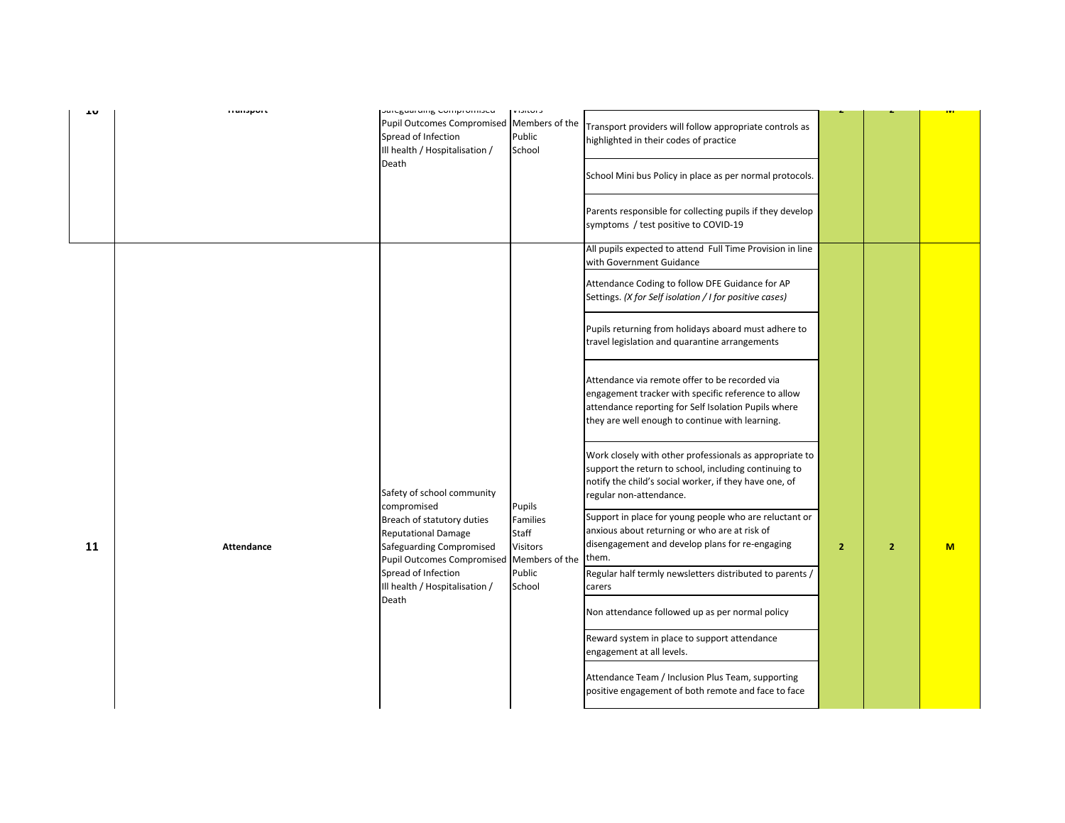| Pupil Outcomes Compromised Members of the<br>Transport providers will follow appropriate controls as<br>Spread of Infection<br>Public<br>highlighted in their codes of practice<br>Ill health / Hospitalisation /<br>School<br>Death<br>School Mini bus Policy in place as per normal protocols.<br>Parents responsible for collecting pupils if they develop<br>symptoms / test positive to COVID-19<br>All pupils expected to attend Full Time Provision in line<br>with Government Guidance<br>Attendance Coding to follow DFE Guidance for AP<br>Settings. (X for Self isolation / I for positive cases)<br>Pupils returning from holidays aboard must adhere to<br>travel legislation and quarantine arrangements<br>Attendance via remote offer to be recorded via<br>engagement tracker with specific reference to allow<br>attendance reporting for Self Isolation Pupils where<br>they are well enough to continue with learning.<br>Work closely with other professionals as appropriate to<br>support the return to school, including continuing to<br>notify the child's social worker, if they have one, of<br>Safety of school community<br>regular non-attendance.<br>compromised<br>Pupils<br>Support in place for young people who are reluctant or<br>Breach of statutory duties<br>Families<br>anxious about returning or who are at risk of<br><b>Reputational Damage</b><br>Staff<br>disengagement and develop plans for re-engaging<br>Safeguarding Compromised<br>Visitors<br>$\overline{2}$<br>$\overline{2}$<br>M<br>11<br><b>Attendance</b><br>them.<br><b>Pupil Outcomes Compromised</b><br>Members of the<br>Spread of Infection<br>Public<br>Regular half termly newsletters distributed to parents /<br>Ill health / Hospitalisation /<br>School<br>carers<br>Death<br>Non attendance followed up as per normal policy<br>Reward system in place to support attendance<br>engagement at all levels.<br>Attendance Team / Inclusion Plus Team, supporting<br>positive engagement of both remote and face to face | τn | <b>Transport</b> | pareguarumg Compromised | <b>VISILUIS</b> |  | <u>ivi</u> |
|-----------------------------------------------------------------------------------------------------------------------------------------------------------------------------------------------------------------------------------------------------------------------------------------------------------------------------------------------------------------------------------------------------------------------------------------------------------------------------------------------------------------------------------------------------------------------------------------------------------------------------------------------------------------------------------------------------------------------------------------------------------------------------------------------------------------------------------------------------------------------------------------------------------------------------------------------------------------------------------------------------------------------------------------------------------------------------------------------------------------------------------------------------------------------------------------------------------------------------------------------------------------------------------------------------------------------------------------------------------------------------------------------------------------------------------------------------------------------------------------------------------------------------------------------------------------------------------------------------------------------------------------------------------------------------------------------------------------------------------------------------------------------------------------------------------------------------------------------------------------------------------------------------------------------------------------------------------------------------------------------------------------------------------------------|----|------------------|-------------------------|-----------------|--|------------|
|                                                                                                                                                                                                                                                                                                                                                                                                                                                                                                                                                                                                                                                                                                                                                                                                                                                                                                                                                                                                                                                                                                                                                                                                                                                                                                                                                                                                                                                                                                                                                                                                                                                                                                                                                                                                                                                                                                                                                                                                                                               |    |                  |                         |                 |  |            |
|                                                                                                                                                                                                                                                                                                                                                                                                                                                                                                                                                                                                                                                                                                                                                                                                                                                                                                                                                                                                                                                                                                                                                                                                                                                                                                                                                                                                                                                                                                                                                                                                                                                                                                                                                                                                                                                                                                                                                                                                                                               |    |                  |                         |                 |  |            |
|                                                                                                                                                                                                                                                                                                                                                                                                                                                                                                                                                                                                                                                                                                                                                                                                                                                                                                                                                                                                                                                                                                                                                                                                                                                                                                                                                                                                                                                                                                                                                                                                                                                                                                                                                                                                                                                                                                                                                                                                                                               |    |                  |                         |                 |  |            |
|                                                                                                                                                                                                                                                                                                                                                                                                                                                                                                                                                                                                                                                                                                                                                                                                                                                                                                                                                                                                                                                                                                                                                                                                                                                                                                                                                                                                                                                                                                                                                                                                                                                                                                                                                                                                                                                                                                                                                                                                                                               |    |                  |                         |                 |  |            |
|                                                                                                                                                                                                                                                                                                                                                                                                                                                                                                                                                                                                                                                                                                                                                                                                                                                                                                                                                                                                                                                                                                                                                                                                                                                                                                                                                                                                                                                                                                                                                                                                                                                                                                                                                                                                                                                                                                                                                                                                                                               |    |                  |                         |                 |  |            |
|                                                                                                                                                                                                                                                                                                                                                                                                                                                                                                                                                                                                                                                                                                                                                                                                                                                                                                                                                                                                                                                                                                                                                                                                                                                                                                                                                                                                                                                                                                                                                                                                                                                                                                                                                                                                                                                                                                                                                                                                                                               |    |                  |                         |                 |  |            |
|                                                                                                                                                                                                                                                                                                                                                                                                                                                                                                                                                                                                                                                                                                                                                                                                                                                                                                                                                                                                                                                                                                                                                                                                                                                                                                                                                                                                                                                                                                                                                                                                                                                                                                                                                                                                                                                                                                                                                                                                                                               |    |                  |                         |                 |  |            |
|                                                                                                                                                                                                                                                                                                                                                                                                                                                                                                                                                                                                                                                                                                                                                                                                                                                                                                                                                                                                                                                                                                                                                                                                                                                                                                                                                                                                                                                                                                                                                                                                                                                                                                                                                                                                                                                                                                                                                                                                                                               |    |                  |                         |                 |  |            |
|                                                                                                                                                                                                                                                                                                                                                                                                                                                                                                                                                                                                                                                                                                                                                                                                                                                                                                                                                                                                                                                                                                                                                                                                                                                                                                                                                                                                                                                                                                                                                                                                                                                                                                                                                                                                                                                                                                                                                                                                                                               |    |                  |                         |                 |  |            |
|                                                                                                                                                                                                                                                                                                                                                                                                                                                                                                                                                                                                                                                                                                                                                                                                                                                                                                                                                                                                                                                                                                                                                                                                                                                                                                                                                                                                                                                                                                                                                                                                                                                                                                                                                                                                                                                                                                                                                                                                                                               |    |                  |                         |                 |  |            |
|                                                                                                                                                                                                                                                                                                                                                                                                                                                                                                                                                                                                                                                                                                                                                                                                                                                                                                                                                                                                                                                                                                                                                                                                                                                                                                                                                                                                                                                                                                                                                                                                                                                                                                                                                                                                                                                                                                                                                                                                                                               |    |                  |                         |                 |  |            |
|                                                                                                                                                                                                                                                                                                                                                                                                                                                                                                                                                                                                                                                                                                                                                                                                                                                                                                                                                                                                                                                                                                                                                                                                                                                                                                                                                                                                                                                                                                                                                                                                                                                                                                                                                                                                                                                                                                                                                                                                                                               |    |                  |                         |                 |  |            |
|                                                                                                                                                                                                                                                                                                                                                                                                                                                                                                                                                                                                                                                                                                                                                                                                                                                                                                                                                                                                                                                                                                                                                                                                                                                                                                                                                                                                                                                                                                                                                                                                                                                                                                                                                                                                                                                                                                                                                                                                                                               |    |                  |                         |                 |  |            |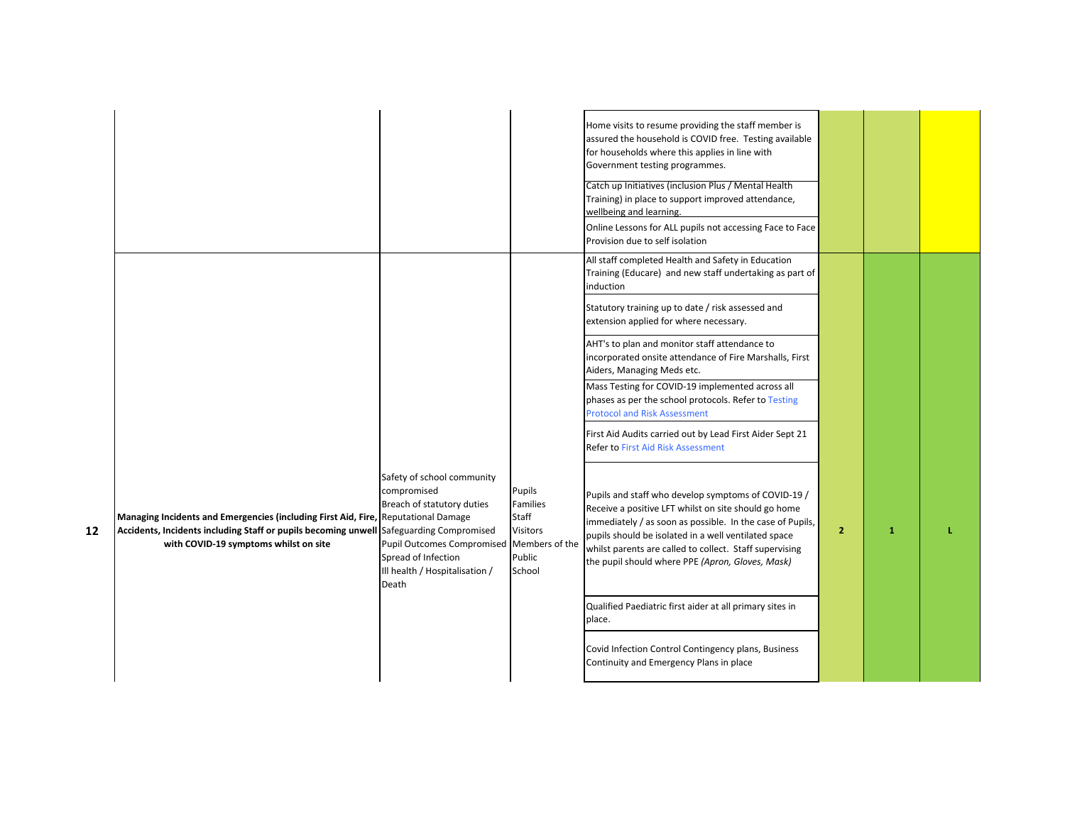|    |                                                                                                                                                                                                                        |                                                                                                                                                                                |                                                                               | Home visits to resume providing the staff member is<br>assured the household is COVID free. Testing available<br>for households where this applies in line with<br>Government testing programmes.<br>Catch up Initiatives (inclusion Plus / Mental Health<br>Training) in place to support improved attendance,<br>wellbeing and learning.<br>Online Lessons for ALL pupils not accessing Face to Face<br>Provision due to self isolation |                |              |  |
|----|------------------------------------------------------------------------------------------------------------------------------------------------------------------------------------------------------------------------|--------------------------------------------------------------------------------------------------------------------------------------------------------------------------------|-------------------------------------------------------------------------------|-------------------------------------------------------------------------------------------------------------------------------------------------------------------------------------------------------------------------------------------------------------------------------------------------------------------------------------------------------------------------------------------------------------------------------------------|----------------|--------------|--|
|    |                                                                                                                                                                                                                        |                                                                                                                                                                                |                                                                               | All staff completed Health and Safety in Education<br>Training (Educare) and new staff undertaking as part of<br>induction<br>Statutory training up to date / risk assessed and                                                                                                                                                                                                                                                           |                |              |  |
|    |                                                                                                                                                                                                                        |                                                                                                                                                                                |                                                                               | extension applied for where necessary.<br>AHT's to plan and monitor staff attendance to<br>incorporated onsite attendance of Fire Marshalls, First<br>Aiders, Managing Meds etc.                                                                                                                                                                                                                                                          |                |              |  |
|    |                                                                                                                                                                                                                        |                                                                                                                                                                                |                                                                               | Mass Testing for COVID-19 implemented across all<br>phases as per the school protocols. Refer to Testing<br><b>Protocol and Risk Assessment</b>                                                                                                                                                                                                                                                                                           |                |              |  |
|    |                                                                                                                                                                                                                        |                                                                                                                                                                                |                                                                               | First Aid Audits carried out by Lead First Aider Sept 21<br><b>Refer to First Aid Risk Assessment</b>                                                                                                                                                                                                                                                                                                                                     |                |              |  |
| 12 | Managing Incidents and Emergencies (including First Aid, Fire, Reputational Damage<br>Accidents, Incidents including Staff or pupils becoming unwell Safeguarding Compromised<br>with COVID-19 symptoms whilst on site | Safety of school community<br>compromised<br>Breach of statutory duties<br><b>Pupil Outcomes Compromised</b><br>Spread of Infection<br>Ill health / Hospitalisation /<br>Death | Pupils<br>Families<br>Staff<br>Visitors<br>Members of the<br>Public<br>School | Pupils and staff who develop symptoms of COVID-19 /<br>Receive a positive LFT whilst on site should go home<br>immediately / as soon as possible. In the case of Pupils,<br>pupils should be isolated in a well ventilated space<br>whilst parents are called to collect. Staff supervising<br>the pupil should where PPE (Apron, Gloves, Mask)                                                                                           | $\overline{2}$ | $\mathbf{1}$ |  |
|    |                                                                                                                                                                                                                        |                                                                                                                                                                                |                                                                               | Qualified Paediatric first aider at all primary sites in<br>place.                                                                                                                                                                                                                                                                                                                                                                        |                |              |  |
|    |                                                                                                                                                                                                                        |                                                                                                                                                                                |                                                                               | Covid Infection Control Contingency plans, Business<br>Continuity and Emergency Plans in place                                                                                                                                                                                                                                                                                                                                            |                |              |  |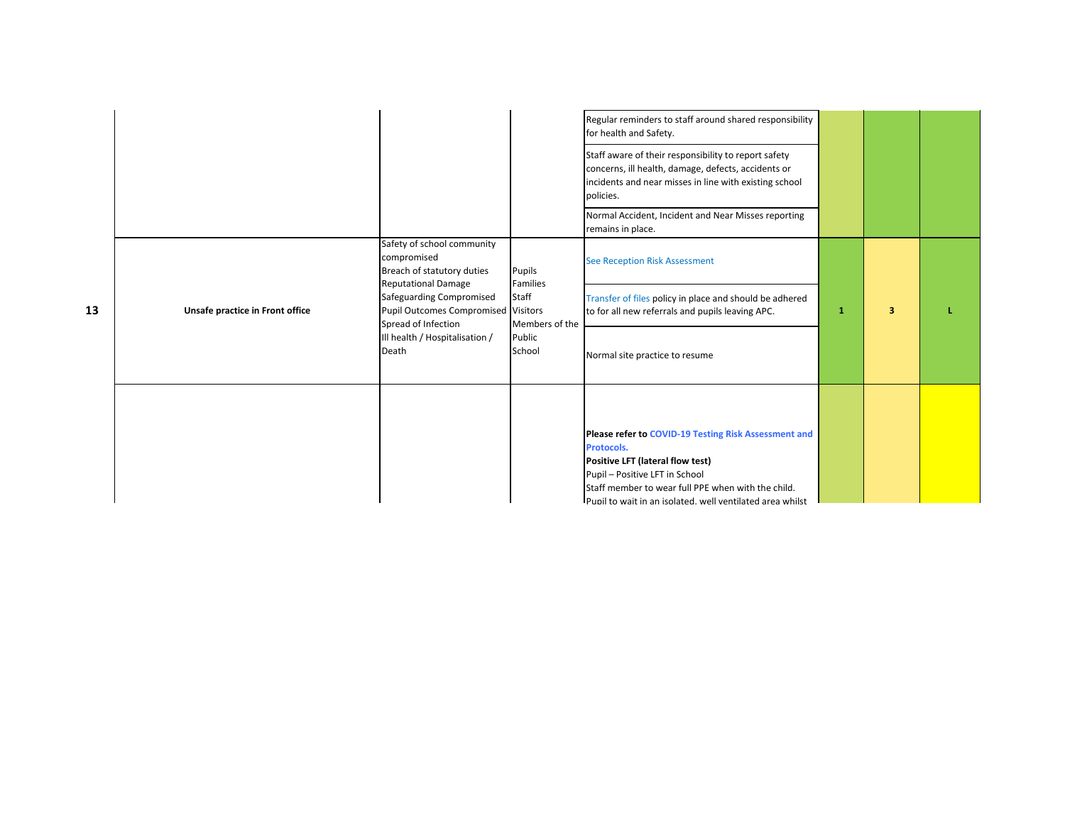|    |                                 |                                                                                                       |                                            | Regular reminders to staff around shared responsibility<br>for health and Safety.                                                                                                     |   |   |  |
|----|---------------------------------|-------------------------------------------------------------------------------------------------------|--------------------------------------------|---------------------------------------------------------------------------------------------------------------------------------------------------------------------------------------|---|---|--|
|    |                                 |                                                                                                       |                                            | Staff aware of their responsibility to report safety<br>concerns, ill health, damage, defects, accidents or<br>incidents and near misses in line with existing school<br>policies.    |   |   |  |
|    |                                 |                                                                                                       |                                            | Normal Accident, Incident and Near Misses reporting<br>remains in place.                                                                                                              |   |   |  |
|    |                                 | Safety of school community<br>compromised<br>Breach of statutory duties<br><b>Reputational Damage</b> | Pupils<br>Families                         | <b>See Reception Risk Assessment</b>                                                                                                                                                  |   |   |  |
| 13 | Unsafe practice in Front office | Safeguarding Compromised<br>Pupil Outcomes Compromised<br>Spread of Infection                         | Staff<br><b>Visitors</b><br>Members of the | Transfer of files policy in place and should be adhered<br>to for all new referrals and pupils leaving APC.                                                                           | 1 | 3 |  |
|    |                                 | Ill health / Hospitalisation /<br>Death                                                               | Public<br>School                           | Normal site practice to resume                                                                                                                                                        |   |   |  |
|    |                                 |                                                                                                       |                                            | Please refer to COVID-19 Testing Risk Assessment and<br>Protocols.                                                                                                                    |   |   |  |
|    |                                 |                                                                                                       |                                            | Positive LFT (lateral flow test)<br>Pupil - Positive LFT in School<br>Staff member to wear full PPE when with the child.<br>Pupil to wait in an isolated, well ventilated area whilst |   |   |  |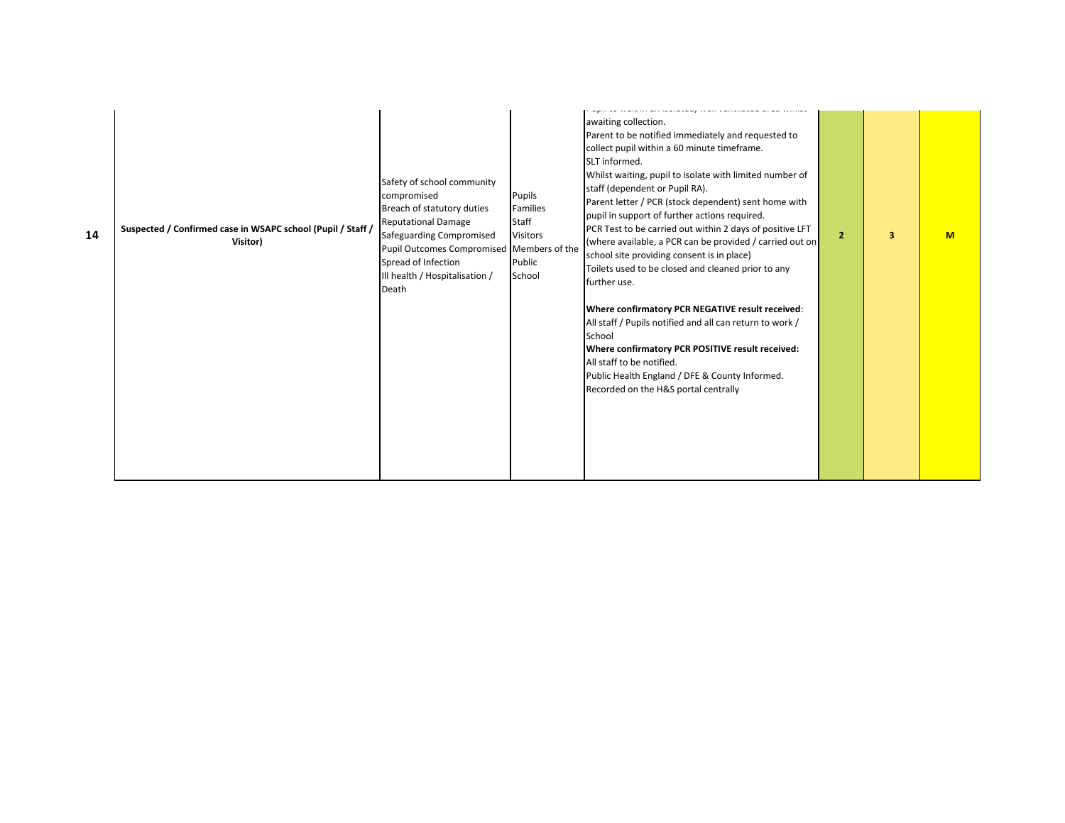| 14 | Suspected / Confirmed case in WSAPC school (Pupil / Staff /<br>Visitor) | Safety of school community<br>compromised<br>Breach of statutory duties<br><b>Reputational Damage</b><br>Safeguarding Compromised<br>Pupil Outcomes Compromised Members of the<br>Spread of Infection<br>Ill health / Hospitalisation /<br>Death | Pupils<br><b>Families</b><br>Staff<br><b>Visitors</b><br>Public<br>School | awaiting collection.<br>Parent to be notified immediately and requested to<br>collect pupil within a 60 minute timeframe.<br>SLT informed.<br>Whilst waiting, pupil to isolate with limited number of<br>staff (dependent or Pupil RA).<br>Parent letter / PCR (stock dependent) sent home with<br>pupil in support of further actions required.<br>PCR Test to be carried out within 2 days of positive LFT<br>(where available, a PCR can be provided / carried out on<br>school site providing consent is in place)<br>Toilets used to be closed and cleaned prior to any<br>further use.<br>Where confirmatory PCR NEGATIVE result received:<br>All staff / Pupils notified and all can return to work /<br>School<br>Where confirmatory PCR POSITIVE result received:<br>All staff to be notified.<br>Public Health England / DFE & County Informed.<br>Recorded on the H&S portal centrally | $\overline{2}$ | 3 | M |  |
|----|-------------------------------------------------------------------------|--------------------------------------------------------------------------------------------------------------------------------------------------------------------------------------------------------------------------------------------------|---------------------------------------------------------------------------|---------------------------------------------------------------------------------------------------------------------------------------------------------------------------------------------------------------------------------------------------------------------------------------------------------------------------------------------------------------------------------------------------------------------------------------------------------------------------------------------------------------------------------------------------------------------------------------------------------------------------------------------------------------------------------------------------------------------------------------------------------------------------------------------------------------------------------------------------------------------------------------------------|----------------|---|---|--|
|----|-------------------------------------------------------------------------|--------------------------------------------------------------------------------------------------------------------------------------------------------------------------------------------------------------------------------------------------|---------------------------------------------------------------------------|---------------------------------------------------------------------------------------------------------------------------------------------------------------------------------------------------------------------------------------------------------------------------------------------------------------------------------------------------------------------------------------------------------------------------------------------------------------------------------------------------------------------------------------------------------------------------------------------------------------------------------------------------------------------------------------------------------------------------------------------------------------------------------------------------------------------------------------------------------------------------------------------------|----------------|---|---|--|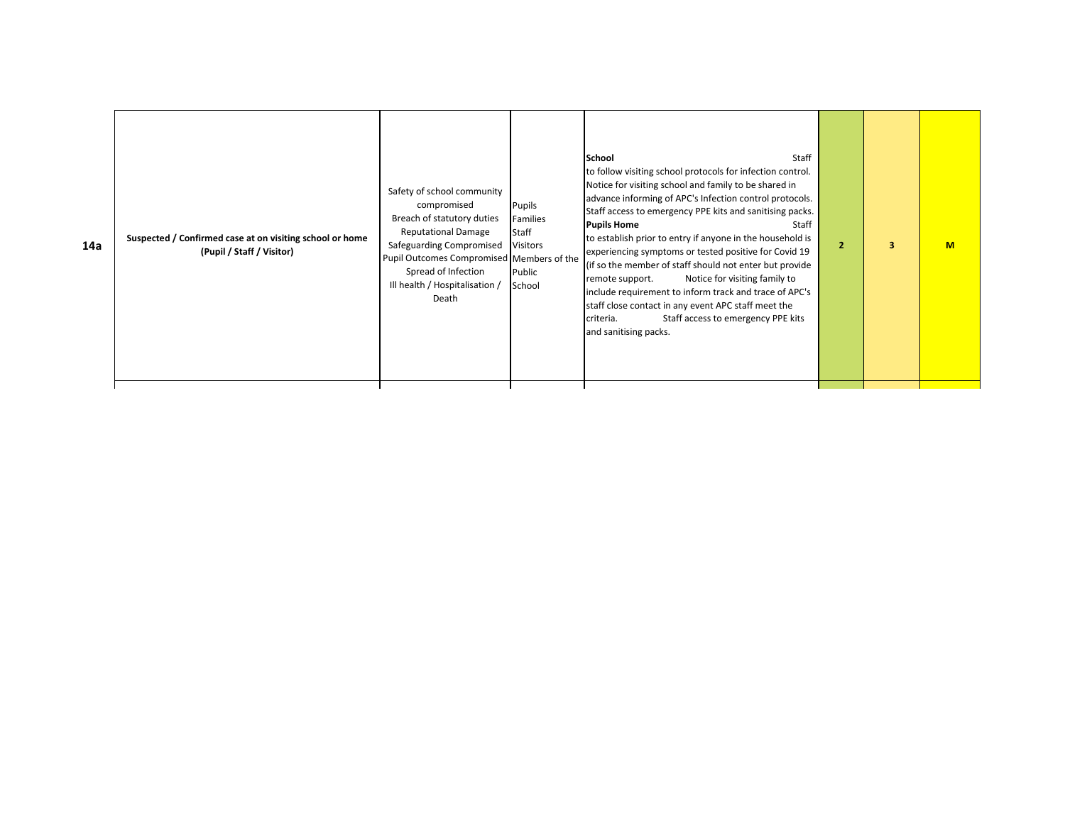| to follow visiting school protocols for infection control.<br>Notice for visiting school and family to be shared in<br>Safety of school community<br>advance informing of APC's Infection control protocols.<br>compromised<br>Pupils<br>Staff access to emergency PPE kits and sanitising packs.<br>Breach of statutory duties<br>Families<br><b>Pupils Home</b><br>Staff<br><b>Reputational Damage</b><br>Staff<br>to establish prior to entry if anyone in the household is<br>Suspected / Confirmed case at on visiting school or home<br>14a<br>Safeguarding Compromised<br>Visitors<br>$\overline{2}$<br>з<br>experiencing symptoms or tested positive for Covid 19<br>(Pupil / Staff / Visitor)<br>Pupil Outcomes Compromised Members of the<br>(if so the member of staff should not enter but provide<br>Spread of Infection<br>Public<br>Notice for visiting family to<br>remote support.<br>Ill health / Hospitalisation /<br>School<br>include requirement to inform track and trace of APC's<br>Death<br>staff close contact in any event APC staff meet the<br>Staff access to emergency PPE kits<br>criteria.<br>and sanitising packs. |  | M |
|-------------------------------------------------------------------------------------------------------------------------------------------------------------------------------------------------------------------------------------------------------------------------------------------------------------------------------------------------------------------------------------------------------------------------------------------------------------------------------------------------------------------------------------------------------------------------------------------------------------------------------------------------------------------------------------------------------------------------------------------------------------------------------------------------------------------------------------------------------------------------------------------------------------------------------------------------------------------------------------------------------------------------------------------------------------------------------------------------------------------------------------------------------|--|---|
|-------------------------------------------------------------------------------------------------------------------------------------------------------------------------------------------------------------------------------------------------------------------------------------------------------------------------------------------------------------------------------------------------------------------------------------------------------------------------------------------------------------------------------------------------------------------------------------------------------------------------------------------------------------------------------------------------------------------------------------------------------------------------------------------------------------------------------------------------------------------------------------------------------------------------------------------------------------------------------------------------------------------------------------------------------------------------------------------------------------------------------------------------------|--|---|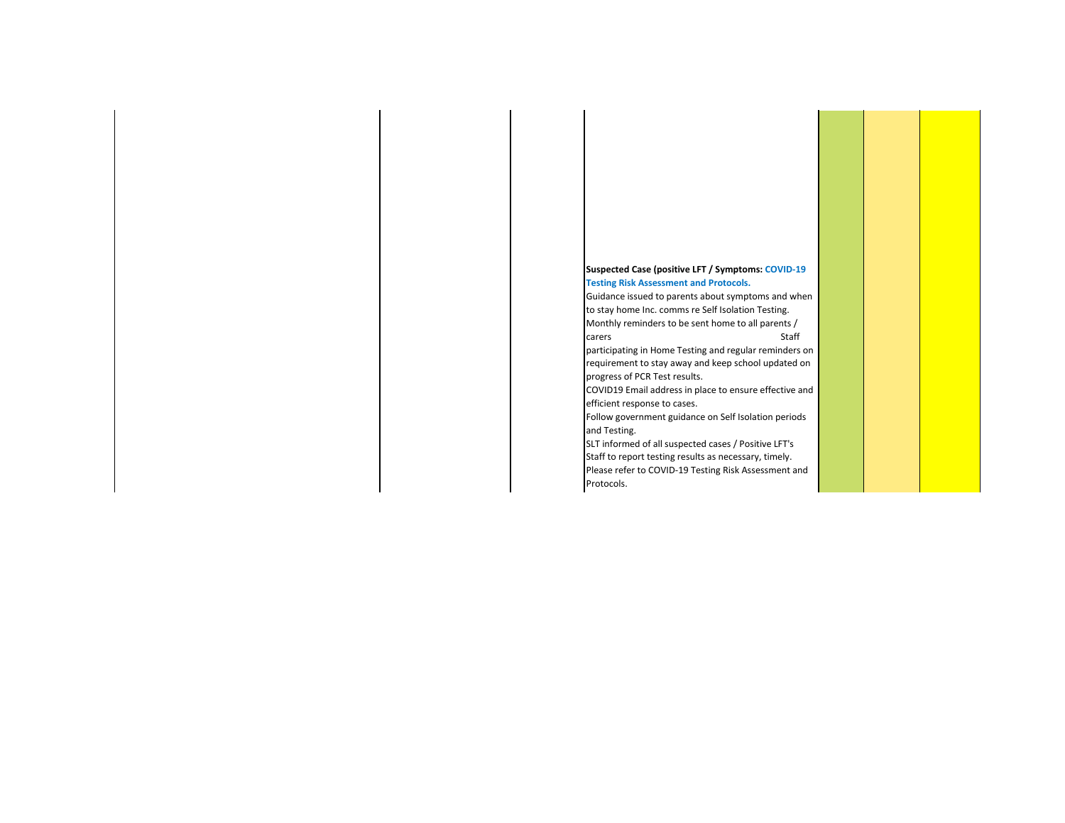## **Suspected Case (positive LFT / Symptoms: COVID-19 Testing Risk Assessment and Protocols.**

Guidance issued to parents about symptoms and when to stay home Inc. comms re Self Isolation Testing. Monthly reminders to be sent home to all parents / carers Staff participating in Home Testing and regular reminders on

requirement to stay away and keep school updated on progress of PCR Test results.

COVID19 Email address in place to ensure effective and efficient response to cases.

Follow government guidance on Self Isolation periods and Testing.

SLT informed of all suspected cases / Positive LFT's Staff to report testing results as necessary, timely. Please refer to COVID-19 Testing Risk Assessment and Protocols.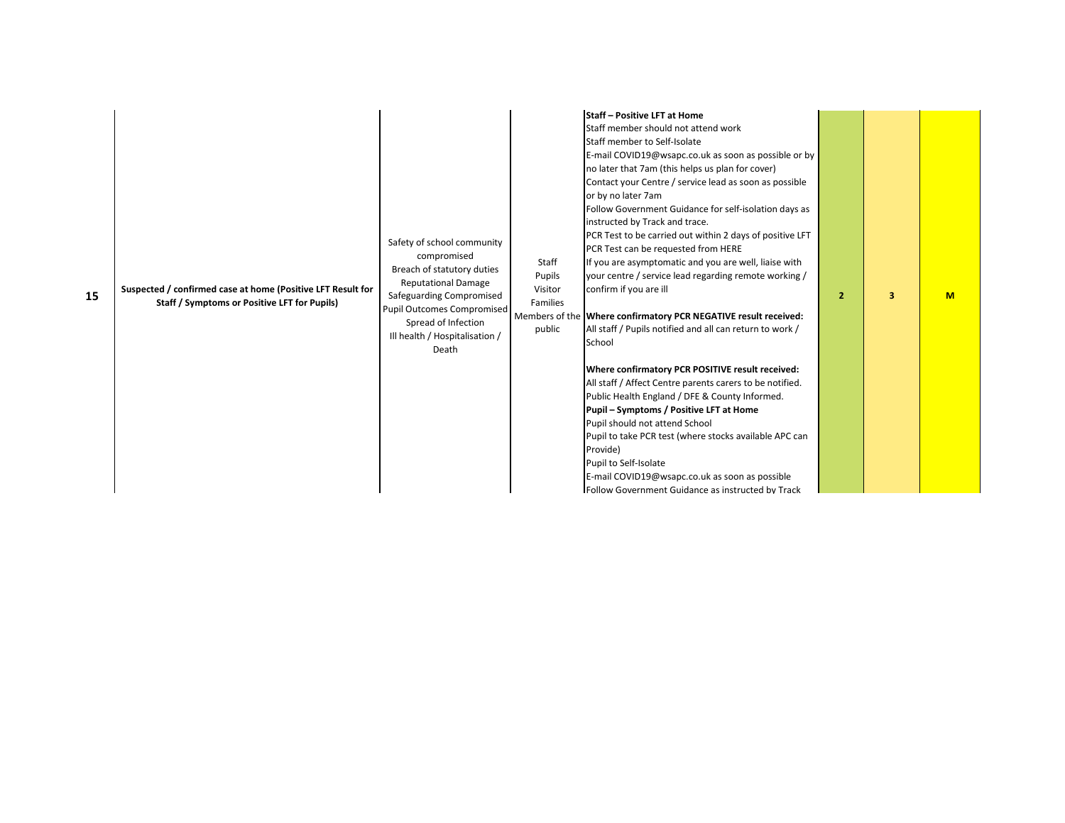| 15 | Suspected / confirmed case at home (Positive LFT Result for<br>Staff / Symptoms or Positive LFT for Pupils) | Safety of school community<br>compromised<br>Breach of statutory duties<br><b>Reputational Damage</b><br>Safeguarding Compromised<br><b>Pupil Outcomes Compromised</b><br>Spread of Infection<br>Ill health / Hospitalisation /<br>Death | Staff<br>Pupils<br>Visitor<br>Families<br>public | <b>Staff - Positive LFT at Home</b><br>Staff member should not attend work<br>Staff member to Self-Isolate<br>E-mail COVID19@wsapc.co.uk as soon as possible or by<br>no later that 7am (this helps us plan for cover)<br>Contact your Centre / service lead as soon as possible<br>or by no later 7am<br>Follow Government Guidance for self-isolation days as<br>instructed by Track and trace.<br>PCR Test to be carried out within 2 days of positive LFT<br>PCR Test can be requested from HERE<br>If you are asymptomatic and you are well, liaise with<br>your centre / service lead regarding remote working /<br>confirm if you are ill<br>Members of the Where confirmatory PCR NEGATIVE result received:<br>All staff / Pupils notified and all can return to work /<br>School<br>Where confirmatory PCR POSITIVE result received:<br>All staff / Affect Centre parents carers to be notified.<br>Public Health England / DFE & County Informed.<br>Pupil - Symptoms / Positive LFT at Home<br>Pupil should not attend School<br>Pupil to take PCR test (where stocks available APC can<br>Provide)<br>Pupil to Self-Isolate<br>E-mail COVID19@wsapc.co.uk as soon as possible<br>Follow Government Guidance as instructed by Track | $\overline{2}$ | 3 | M |  |
|----|-------------------------------------------------------------------------------------------------------------|------------------------------------------------------------------------------------------------------------------------------------------------------------------------------------------------------------------------------------------|--------------------------------------------------|------------------------------------------------------------------------------------------------------------------------------------------------------------------------------------------------------------------------------------------------------------------------------------------------------------------------------------------------------------------------------------------------------------------------------------------------------------------------------------------------------------------------------------------------------------------------------------------------------------------------------------------------------------------------------------------------------------------------------------------------------------------------------------------------------------------------------------------------------------------------------------------------------------------------------------------------------------------------------------------------------------------------------------------------------------------------------------------------------------------------------------------------------------------------------------------------------------------------------------------------|----------------|---|---|--|
|----|-------------------------------------------------------------------------------------------------------------|------------------------------------------------------------------------------------------------------------------------------------------------------------------------------------------------------------------------------------------|--------------------------------------------------|------------------------------------------------------------------------------------------------------------------------------------------------------------------------------------------------------------------------------------------------------------------------------------------------------------------------------------------------------------------------------------------------------------------------------------------------------------------------------------------------------------------------------------------------------------------------------------------------------------------------------------------------------------------------------------------------------------------------------------------------------------------------------------------------------------------------------------------------------------------------------------------------------------------------------------------------------------------------------------------------------------------------------------------------------------------------------------------------------------------------------------------------------------------------------------------------------------------------------------------------|----------------|---|---|--|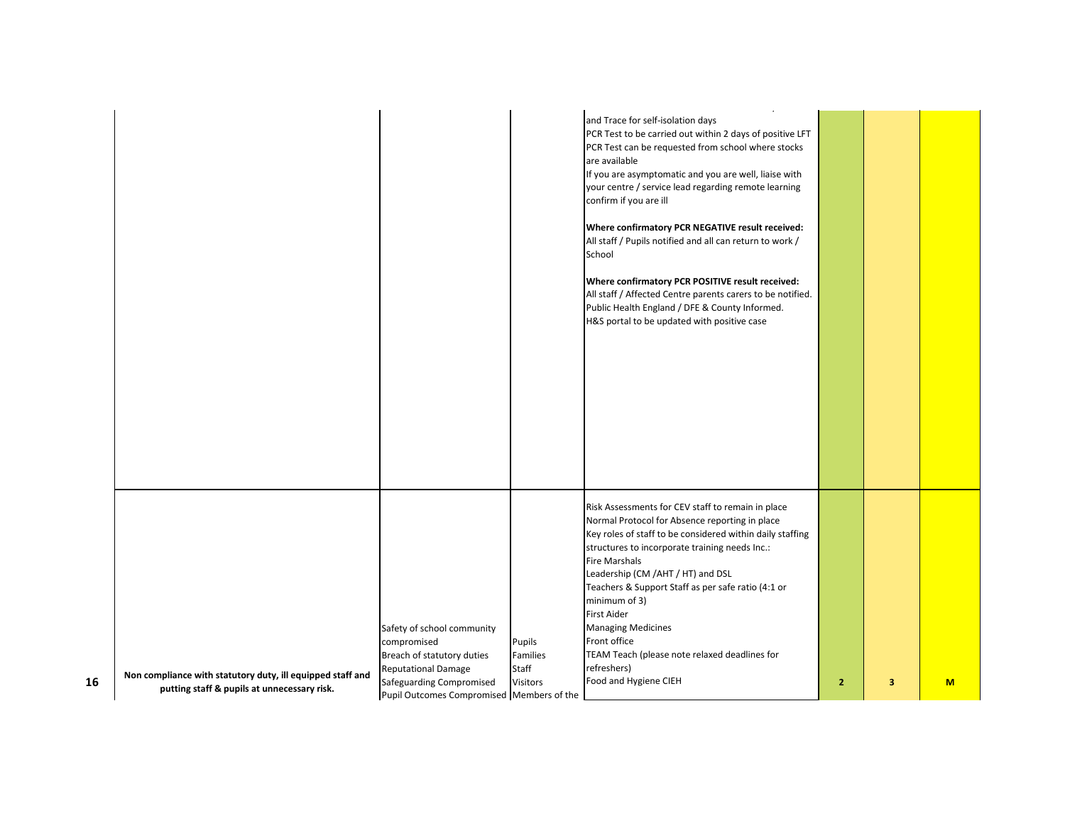|    |                                                                                                           |                                                                                                     |                          | a sa baran sa sa san san sa<br>and the<br>and Trace for self-isolation days<br>PCR Test to be carried out within 2 days of positive LFT<br>PCR Test can be requested from school where stocks<br>are available                                                                  |              |   |   |
|----|-----------------------------------------------------------------------------------------------------------|-----------------------------------------------------------------------------------------------------|--------------------------|---------------------------------------------------------------------------------------------------------------------------------------------------------------------------------------------------------------------------------------------------------------------------------|--------------|---|---|
|    |                                                                                                           |                                                                                                     |                          | If you are asymptomatic and you are well, liaise with<br>your centre / service lead regarding remote learning<br>confirm if you are ill                                                                                                                                         |              |   |   |
|    |                                                                                                           |                                                                                                     |                          | Where confirmatory PCR NEGATIVE result received:<br>All staff / Pupils notified and all can return to work /<br>School                                                                                                                                                          |              |   |   |
|    |                                                                                                           |                                                                                                     |                          | Where confirmatory PCR POSITIVE result received:<br>All staff / Affected Centre parents carers to be notified.<br>Public Health England / DFE & County Informed.<br>H&S portal to be updated with positive case                                                                 |              |   |   |
|    |                                                                                                           |                                                                                                     |                          |                                                                                                                                                                                                                                                                                 |              |   |   |
|    |                                                                                                           |                                                                                                     |                          |                                                                                                                                                                                                                                                                                 |              |   |   |
|    |                                                                                                           |                                                                                                     |                          |                                                                                                                                                                                                                                                                                 |              |   |   |
|    |                                                                                                           |                                                                                                     |                          | Risk Assessments for CEV staff to remain in place<br>Normal Protocol for Absence reporting in place<br>Key roles of staff to be considered within daily staffing<br>structures to incorporate training needs Inc.:<br><b>Fire Marshals</b><br>Leadership (CM /AHT / HT) and DSL |              |   |   |
|    |                                                                                                           |                                                                                                     |                          | Teachers & Support Staff as per safe ratio (4:1 or<br>minimum of 3)<br>First Aider                                                                                                                                                                                              |              |   |   |
|    |                                                                                                           | Safety of school community<br>compromised<br>Breach of statutory duties                             | Pupils<br>Families       | <b>Managing Medicines</b><br>Front office<br>TEAM Teach (please note relaxed deadlines for                                                                                                                                                                                      |              |   |   |
| 16 | Non compliance with statutory duty, ill equipped staff and<br>putting staff & pupils at unnecessary risk. | <b>Reputational Damage</b><br>Safeguarding Compromised<br>Pupil Outcomes Compromised Members of the | Staff<br><b>Visitors</b> | refreshers)<br>Food and Hygiene CIEH                                                                                                                                                                                                                                            | $\mathbf{2}$ | 3 | M |
|    |                                                                                                           |                                                                                                     |                          |                                                                                                                                                                                                                                                                                 |              |   |   |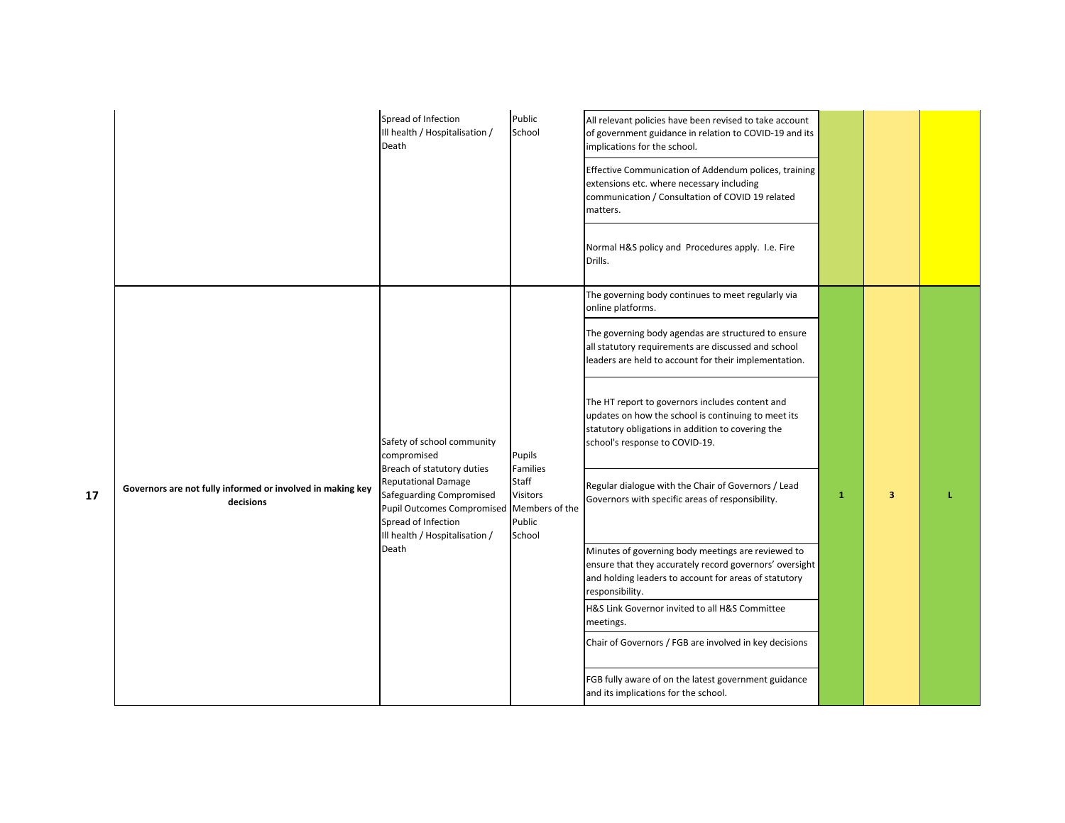|    |                                                                         | Spread of Infection<br>Ill health / Hospitalisation /<br>Death                                                                                                                                                                           | Public<br>School                                                                            | All relevant policies have been revised to take account<br>of government guidance in relation to COVID-19 and its<br>implications for the school.<br>Effective Communication of Addendum polices, training<br>extensions etc. where necessary including<br>communication / Consultation of COVID 19 related<br>matters.<br>Normal H&S policy and Procedures apply. I.e. Fire<br>Drills.                                                                                                                                                                                                                                                                                                                                                                                                                                                                                                                                                                                          |              |   |  |
|----|-------------------------------------------------------------------------|------------------------------------------------------------------------------------------------------------------------------------------------------------------------------------------------------------------------------------------|---------------------------------------------------------------------------------------------|----------------------------------------------------------------------------------------------------------------------------------------------------------------------------------------------------------------------------------------------------------------------------------------------------------------------------------------------------------------------------------------------------------------------------------------------------------------------------------------------------------------------------------------------------------------------------------------------------------------------------------------------------------------------------------------------------------------------------------------------------------------------------------------------------------------------------------------------------------------------------------------------------------------------------------------------------------------------------------|--------------|---|--|
| 17 | Governors are not fully informed or involved in making key<br>decisions | Safety of school community<br>compromised<br>Breach of statutory duties<br><b>Reputational Damage</b><br>Safeguarding Compromised<br><b>Pupil Outcomes Compromised</b><br>Spread of Infection<br>Ill health / Hospitalisation /<br>Death | Pupils<br><b>Families</b><br>Staff<br><b>Visitors</b><br>Members of the<br>Public<br>School | The governing body continues to meet regularly via<br>online platforms.<br>The governing body agendas are structured to ensure<br>all statutory requirements are discussed and school<br>leaders are held to account for their implementation.<br>The HT report to governors includes content and<br>updates on how the school is continuing to meet its<br>statutory obligations in addition to covering the<br>school's response to COVID-19.<br>Regular dialogue with the Chair of Governors / Lead<br>Governors with specific areas of responsibility.<br>Minutes of governing body meetings are reviewed to<br>ensure that they accurately record governors' oversight<br>and holding leaders to account for areas of statutory<br>responsibility.<br>H&S Link Governor invited to all H&S Committee<br>meetings.<br>Chair of Governors / FGB are involved in key decisions<br>FGB fully aware of on the latest government guidance<br>and its implications for the school. | $\mathbf{1}$ | 3 |  |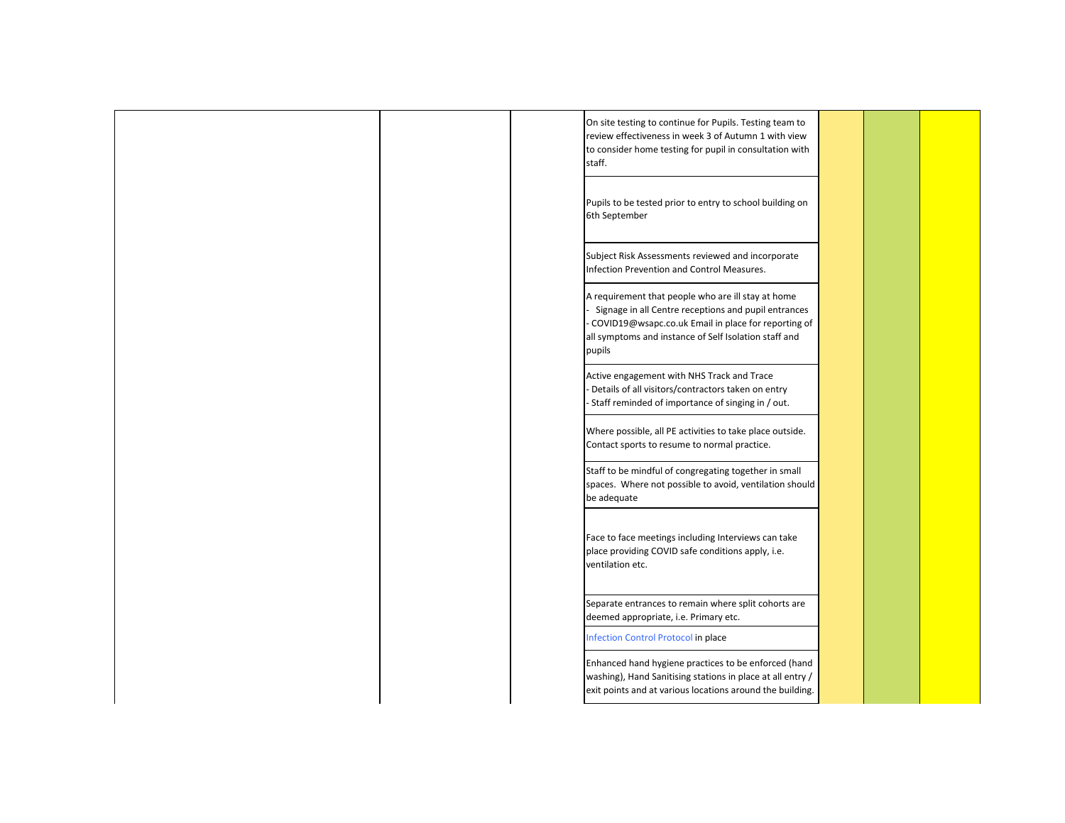Infection Control Protocol in place Enhanced hand hygiene practices to be enforced (hand washing), Hand Sanitising stations in place at all entry / exit points and at various locations around the building. Separate entrances to remain where split cohorts are deemed appropriate, i.e. Primary etc. A requirement that people who are ill stay at home - Signage in all Centre receptions and pupil entrances - COVID19@wsapc.co.uk Email in place for reporting of all symptoms and instance of Self Isolation staff and pupils Active engagement with NHS Track and Trace - Details of all visitors/contractors taken on entry - Staff reminded of importance of singing in / out. Where possible, all PE activities to take place outside. Contact sports to resume to normal practice. On site testing to continue for Pupils. Testing team to review effectiveness in week 3 of Autumn 1 with view to consider home testing for pupil in consultation with staff. Pupils to be tested prior to entry to school building on 6th September Subject Risk Assessments reviewed and incorporate Infection Prevention and Control Measures. Staff to be mindful of congregating together in small spaces. Where not possible to avoid, ventilation should be adequate Face to face meetings including Interviews can take place providing COVID safe conditions apply, i.e. ventilation etc.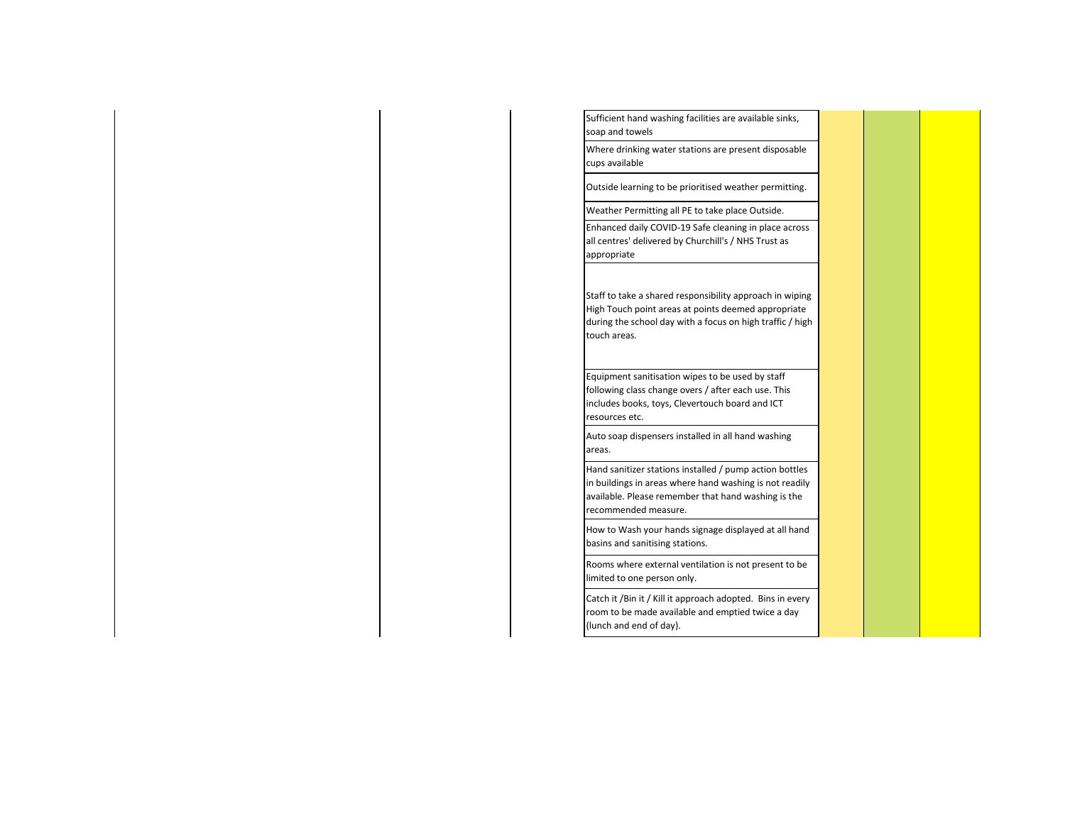Rooms where external ventilation is not present to be limited to one person only. Catch it /Bin it / Kill it approach adopted. Bins in every room to be made available and emptied twice a day (lunch and end of day). Equipment sanitisation wipes to be used by staff following class change overs / after each use. This includes books, toys, Clevertouch board and ICT resources etc. Auto soap dispensers installed in all hand washing areas. Hand sanitizer stations installed / pump action bottles in buildings in areas where hand washing is not readily available. Please remember that hand washing is the recommended measure. How to Wash your hands signage displayed at all hand basins and sanitising stations. Enhanced daily COVID-19 Safe cleaning in place across all centres' delivered by Churchill's / NHS Trust as appropriate Staff to take a shared responsibility approach in wiping High Touch point areas at points deemed appropriate during the school day with a focus on high traffic / high touch areas. Sufficient hand washing facilities are available sinks, soap and towels Where drinking water stations are present disposable cups available Outside learning to be prioritised weather permitting. Weather Permitting all PE to take place Outside.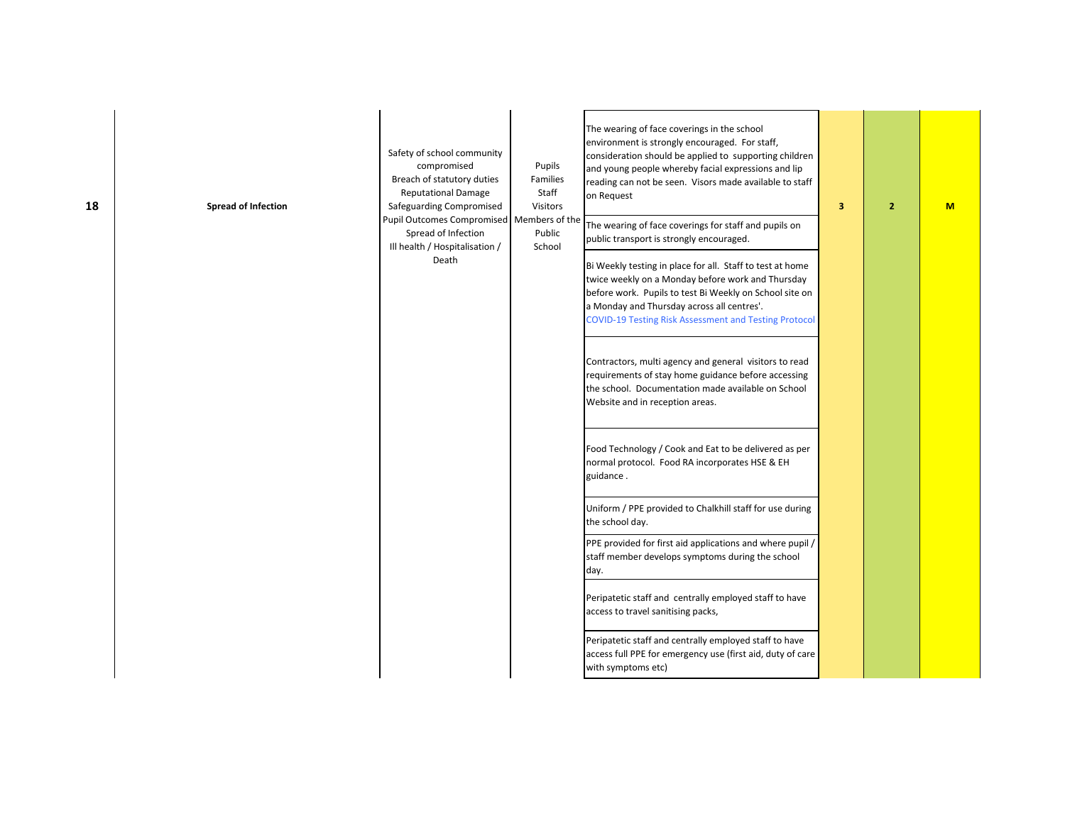| <b>Spread of Infection</b> | Safety of school community<br>compromised<br>Breach of statutory duties<br><b>Reputational Damage</b><br>Safeguarding Compromised<br>Pupil Outcomes Compromised   Members of the | Pupils<br>Families<br>Staff<br><b>Visitors</b> | The wearing of face coverings in the school<br>environment is strongly encouraged. For staff,<br>consideration should be applied to supporting children<br>and young people whereby facial expressions and lip<br>reading can not be seen. Visors made available to staff<br>on Request<br>The wearing of face coverings for staff and pupils on | 3 | $\overline{2}$ | M |
|----------------------------|----------------------------------------------------------------------------------------------------------------------------------------------------------------------------------|------------------------------------------------|--------------------------------------------------------------------------------------------------------------------------------------------------------------------------------------------------------------------------------------------------------------------------------------------------------------------------------------------------|---|----------------|---|
|                            | Spread of Infection<br>Ill health / Hospitalisation /<br>Death                                                                                                                   | Public<br>School                               | public transport is strongly encouraged.<br>Bi Weekly testing in place for all. Staff to test at home<br>twice weekly on a Monday before work and Thursday<br>before work. Pupils to test Bi Weekly on School site on<br>a Monday and Thursday across all centres'.<br><b>COVID-19 Testing Risk Assessment and Testing Protocol</b>              |   |                |   |
|                            |                                                                                                                                                                                  |                                                | Contractors, multi agency and general visitors to read<br>requirements of stay home guidance before accessing<br>the school. Documentation made available on School<br>Website and in reception areas.                                                                                                                                           |   |                |   |
|                            |                                                                                                                                                                                  |                                                | Food Technology / Cook and Eat to be delivered as per<br>normal protocol. Food RA incorporates HSE & EH<br>guidance.                                                                                                                                                                                                                             |   |                |   |
|                            |                                                                                                                                                                                  |                                                | Uniform / PPE provided to Chalkhill staff for use during<br>the school day.                                                                                                                                                                                                                                                                      |   |                |   |
|                            |                                                                                                                                                                                  |                                                | PPE provided for first aid applications and where pupil /<br>staff member develops symptoms during the school<br>day.                                                                                                                                                                                                                            |   |                |   |
|                            |                                                                                                                                                                                  |                                                | Peripatetic staff and centrally employed staff to have<br>access to travel sanitising packs,                                                                                                                                                                                                                                                     |   |                |   |
|                            |                                                                                                                                                                                  |                                                | Peripatetic staff and centrally employed staff to have<br>access full PPE for emergency use (first aid, duty of care<br>with symptoms etc)                                                                                                                                                                                                       |   |                |   |

**18**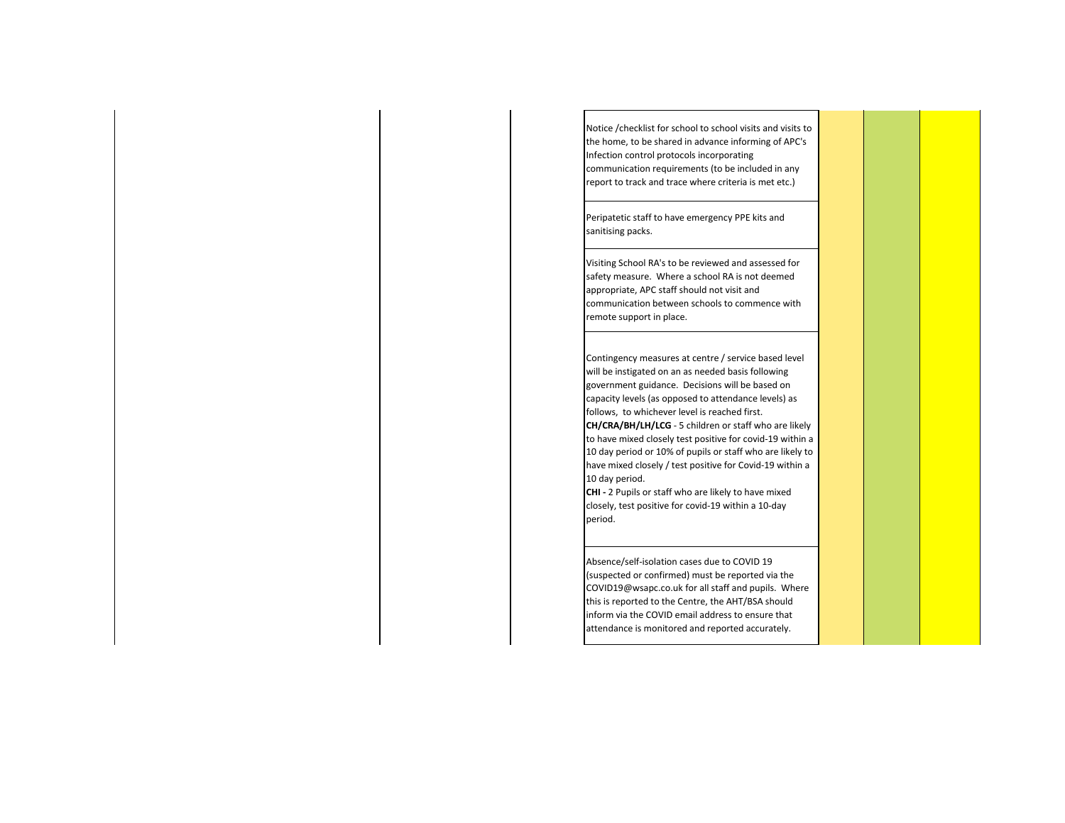Notice /checklist for school to school visits and visits to the home, to be shared in advance informing of APC's Infection control protocols incorporating communication requirements (to be included in any report to track and trace where criteria is met etc.)

Peripatetic staff to have emergency PPE kits and sanitising packs.

Visiting School RA's to be reviewed and assessed for safety measure. Where a school RA is not deemed appropriate, APC staff should not visit and communication between schools to commence with remote support in place.

Contingency measures at centre / service based level will be instigated on an as needed basis following government guidance. Decisions will be based on capacity levels (as opposed to attendance levels) as follows, to whichever level is reached first.

**CH/CRA/BH/LH/LCG** - 5 children or staff who are likely to have mixed closely test positive for covid-19 within a 10 day period or 10% of pupils or staff who are likely to have mixed closely / test positive for Covid-19 within a 10 day period.

**CHI -** 2 Pupils or staff who are likely to have mixed closely, test positive for covid-19 within a 10-day period.

Absence/self-isolation cases due to COVID 19 (suspected or confirmed) must be reported via the COVID19@wsapc.co.uk for all staff and pupils. Where this is reported to the Centre, the AHT/BSA should inform via the COVID email address to ensure that attendance is monitored and reported accurately.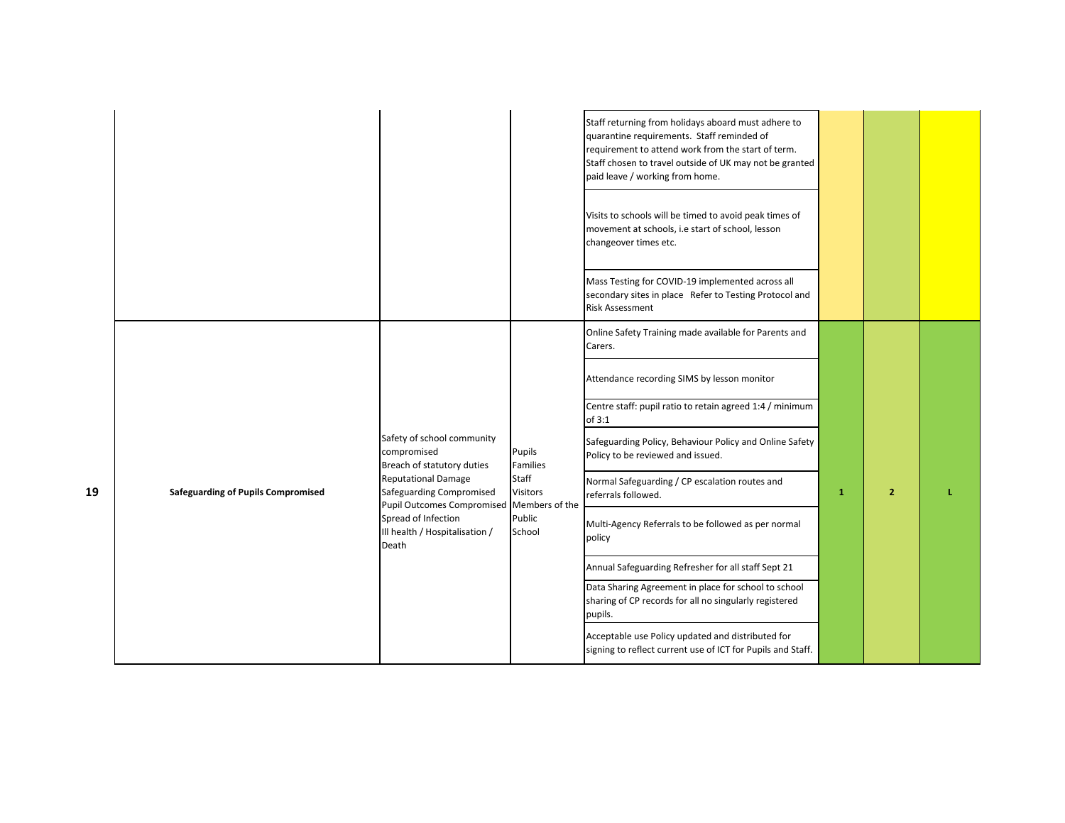|    |                                           |                                                                                             |                                            | Staff returning from holidays aboard must adhere to<br>quarantine requirements. Staff reminded of<br>requirement to attend work from the start of term.<br>Staff chosen to travel outside of UK may not be granted<br>paid leave / working from home. |              |                |  |
|----|-------------------------------------------|---------------------------------------------------------------------------------------------|--------------------------------------------|-------------------------------------------------------------------------------------------------------------------------------------------------------------------------------------------------------------------------------------------------------|--------------|----------------|--|
|    |                                           |                                                                                             |                                            | Visits to schools will be timed to avoid peak times of<br>movement at schools, i.e start of school, lesson<br>changeover times etc.                                                                                                                   |              |                |  |
|    |                                           |                                                                                             |                                            | Mass Testing for COVID-19 implemented across all<br>secondary sites in place Refer to Testing Protocol and<br><b>Risk Assessment</b>                                                                                                                  |              |                |  |
|    |                                           |                                                                                             |                                            | Online Safety Training made available for Parents and<br>Carers.                                                                                                                                                                                      |              |                |  |
|    |                                           |                                                                                             |                                            | Attendance recording SIMS by lesson monitor                                                                                                                                                                                                           |              |                |  |
|    |                                           |                                                                                             |                                            | Centre staff: pupil ratio to retain agreed 1:4 / minimum<br>of 3:1                                                                                                                                                                                    |              |                |  |
|    |                                           | Safety of school community<br>compromised<br>Breach of statutory duties                     | Pupils<br>Families                         | Safeguarding Policy, Behaviour Policy and Online Safety<br>Policy to be reviewed and issued.                                                                                                                                                          |              |                |  |
| 19 | <b>Safeguarding of Pupils Compromised</b> | <b>Reputational Damage</b><br>Safeguarding Compromised<br><b>Pupil Outcomes Compromised</b> | Staff<br><b>Visitors</b><br>Members of the | Normal Safeguarding / CP escalation routes and<br>referrals followed.                                                                                                                                                                                 | $\mathbf{1}$ | $\overline{2}$ |  |
|    |                                           | Spread of Infection<br>Ill health / Hospitalisation /<br>Death                              | Public<br>School                           | Multi-Agency Referrals to be followed as per normal<br>policy                                                                                                                                                                                         |              |                |  |
|    |                                           |                                                                                             |                                            | Annual Safeguarding Refresher for all staff Sept 21                                                                                                                                                                                                   |              |                |  |
|    |                                           |                                                                                             |                                            | Data Sharing Agreement in place for school to school<br>sharing of CP records for all no singularly registered<br>pupils.                                                                                                                             |              |                |  |
|    |                                           |                                                                                             |                                            | Acceptable use Policy updated and distributed for<br>signing to reflect current use of ICT for Pupils and Staff.                                                                                                                                      |              |                |  |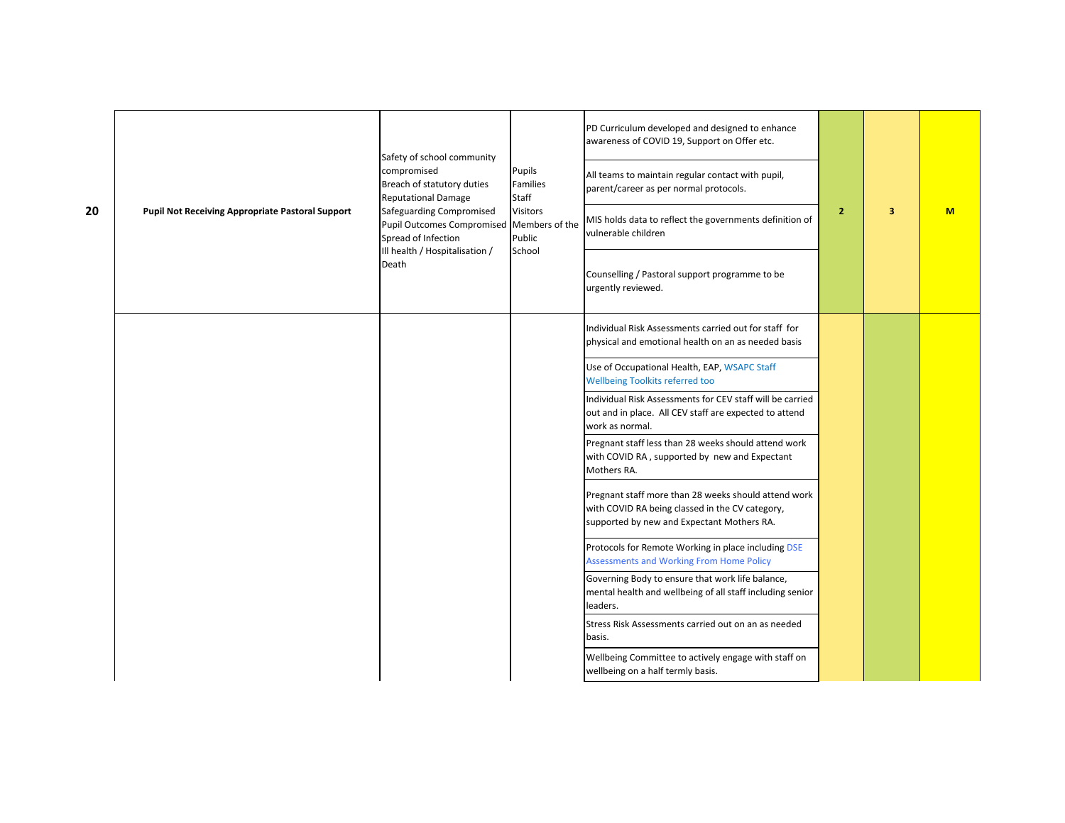| 20 | <b>Pupil Not Receiving Appropriate Pastoral Support</b> | Safety of school community<br>compromised<br>Breach of statutory duties<br><b>Reputational Damage</b><br>Safeguarding Compromised<br>Pupil Outcomes Compromised Members of the<br>Spread of Infection<br>Ill health / Hospitalisation /<br>Death | Pupils<br>Families<br>Staff<br><b>Visitors</b><br>Public<br>School | PD Curriculum developed and designed to enhance<br>awareness of COVID 19, Support on Offer etc.<br>All teams to maintain regular contact with pupil,<br>parent/career as per normal protocols.<br>MIS holds data to reflect the governments definition of<br>vulnerable children | $\overline{2}$ | 3 | M |
|----|---------------------------------------------------------|--------------------------------------------------------------------------------------------------------------------------------------------------------------------------------------------------------------------------------------------------|--------------------------------------------------------------------|----------------------------------------------------------------------------------------------------------------------------------------------------------------------------------------------------------------------------------------------------------------------------------|----------------|---|---|
|    |                                                         |                                                                                                                                                                                                                                                  |                                                                    | Counselling / Pastoral support programme to be<br>urgently reviewed.                                                                                                                                                                                                             |                |   |   |
|    |                                                         |                                                                                                                                                                                                                                                  |                                                                    | Individual Risk Assessments carried out for staff for<br>physical and emotional health on an as needed basis                                                                                                                                                                     |                |   |   |
|    |                                                         |                                                                                                                                                                                                                                                  |                                                                    | Use of Occupational Health, EAP, WSAPC Staff<br><b>Wellbeing Toolkits referred too</b>                                                                                                                                                                                           |                |   |   |
|    |                                                         |                                                                                                                                                                                                                                                  |                                                                    | Individual Risk Assessments for CEV staff will be carried<br>out and in place. All CEV staff are expected to attend<br>work as normal.                                                                                                                                           |                |   |   |
|    |                                                         |                                                                                                                                                                                                                                                  |                                                                    | Pregnant staff less than 28 weeks should attend work<br>with COVID RA, supported by new and Expectant<br>Mothers RA.                                                                                                                                                             |                |   |   |
|    |                                                         |                                                                                                                                                                                                                                                  |                                                                    | Pregnant staff more than 28 weeks should attend work<br>with COVID RA being classed in the CV category,<br>supported by new and Expectant Mothers RA.                                                                                                                            |                |   |   |
|    |                                                         |                                                                                                                                                                                                                                                  |                                                                    | Protocols for Remote Working in place including DSE<br><b>Assessments and Working From Home Policy</b>                                                                                                                                                                           |                |   |   |
|    |                                                         |                                                                                                                                                                                                                                                  |                                                                    | Governing Body to ensure that work life balance,<br>mental health and wellbeing of all staff including senior<br>leaders.                                                                                                                                                        |                |   |   |
|    |                                                         |                                                                                                                                                                                                                                                  |                                                                    | Stress Risk Assessments carried out on an as needed<br>basis.                                                                                                                                                                                                                    |                |   |   |
|    |                                                         |                                                                                                                                                                                                                                                  |                                                                    | Wellbeing Committee to actively engage with staff on<br>wellbeing on a half termly basis.                                                                                                                                                                                        |                |   |   |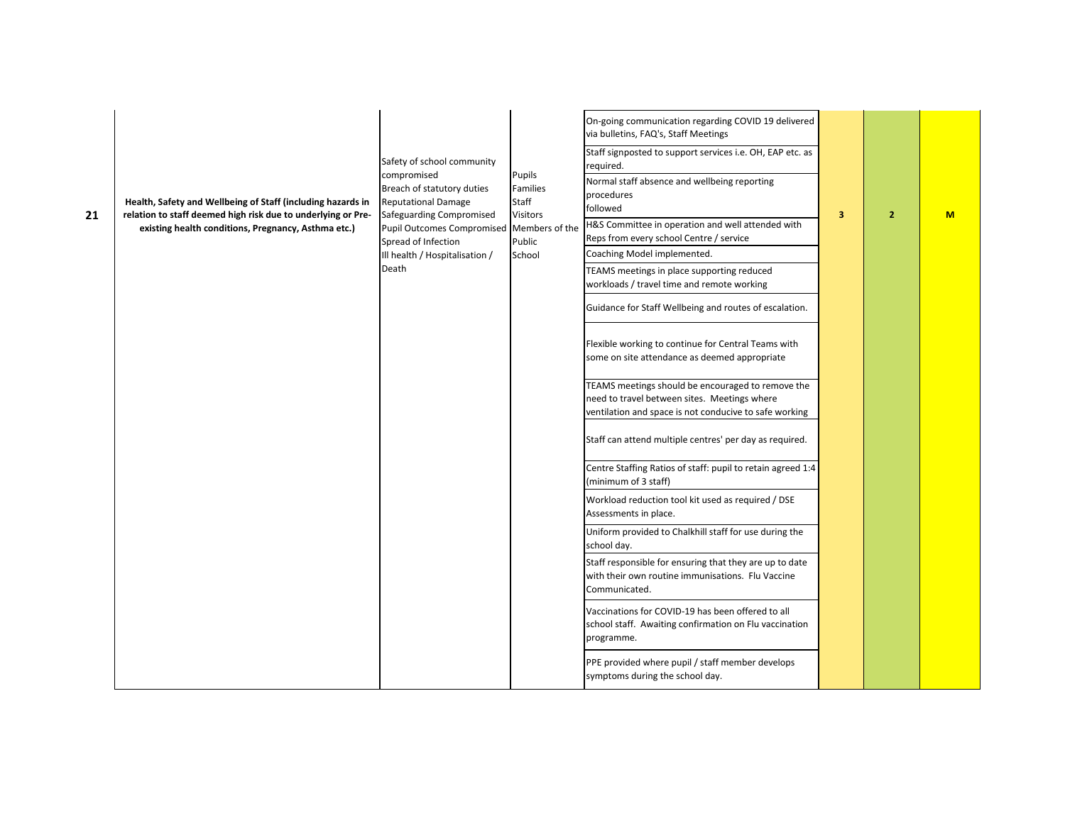| 21 | Health, Safety and Wellbeing of Staff (including hazards in<br>relation to staff deemed high risk due to underlying or Pre-<br>existing health conditions, Pregnancy, Asthma etc.) | Safety of school community<br>compromised<br>Breach of statutory duties<br><b>Reputational Damage</b><br>Safeguarding Compromised<br>Pupil Outcomes Compromised<br>Spread of Infection<br>Ill health / Hospitalisation /<br>Death | Pupils<br>Families<br>Staff<br>Visitors<br>Members of the<br>Public<br>School | On-going communication regarding COVID 19 delivered<br>via bulletins, FAQ's, Staff Meetings<br>Staff signposted to support services i.e. OH, EAP etc. as<br>required.<br>Normal staff absence and wellbeing reporting<br>procedures<br>followed<br>H&S Committee in operation and well attended with<br>Reps from every school Centre / service<br>Coaching Model implemented.<br>TEAMS meetings in place supporting reduced<br>workloads / travel time and remote working | 3 | $\overline{2}$ | M |
|----|------------------------------------------------------------------------------------------------------------------------------------------------------------------------------------|-----------------------------------------------------------------------------------------------------------------------------------------------------------------------------------------------------------------------------------|-------------------------------------------------------------------------------|----------------------------------------------------------------------------------------------------------------------------------------------------------------------------------------------------------------------------------------------------------------------------------------------------------------------------------------------------------------------------------------------------------------------------------------------------------------------------|---|----------------|---|
|    |                                                                                                                                                                                    |                                                                                                                                                                                                                                   |                                                                               | Guidance for Staff Wellbeing and routes of escalation.                                                                                                                                                                                                                                                                                                                                                                                                                     |   |                |   |
|    |                                                                                                                                                                                    |                                                                                                                                                                                                                                   |                                                                               | Flexible working to continue for Central Teams with<br>some on site attendance as deemed appropriate                                                                                                                                                                                                                                                                                                                                                                       |   |                |   |
|    |                                                                                                                                                                                    |                                                                                                                                                                                                                                   |                                                                               | TEAMS meetings should be encouraged to remove the<br>need to travel between sites. Meetings where<br>ventilation and space is not conducive to safe working                                                                                                                                                                                                                                                                                                                |   |                |   |
|    |                                                                                                                                                                                    |                                                                                                                                                                                                                                   |                                                                               | Staff can attend multiple centres' per day as required.                                                                                                                                                                                                                                                                                                                                                                                                                    |   |                |   |
|    |                                                                                                                                                                                    |                                                                                                                                                                                                                                   |                                                                               | Centre Staffing Ratios of staff: pupil to retain agreed 1:4<br>(minimum of 3 staff)                                                                                                                                                                                                                                                                                                                                                                                        |   |                |   |
|    |                                                                                                                                                                                    |                                                                                                                                                                                                                                   |                                                                               | Workload reduction tool kit used as required / DSE<br>Assessments in place.                                                                                                                                                                                                                                                                                                                                                                                                |   |                |   |
|    |                                                                                                                                                                                    |                                                                                                                                                                                                                                   |                                                                               | Uniform provided to Chalkhill staff for use during the<br>school day.                                                                                                                                                                                                                                                                                                                                                                                                      |   |                |   |
|    |                                                                                                                                                                                    |                                                                                                                                                                                                                                   |                                                                               | Staff responsible for ensuring that they are up to date<br>with their own routine immunisations. Flu Vaccine<br>Communicated.                                                                                                                                                                                                                                                                                                                                              |   |                |   |
|    |                                                                                                                                                                                    |                                                                                                                                                                                                                                   |                                                                               | Vaccinations for COVID-19 has been offered to all<br>school staff. Awaiting confirmation on Flu vaccination<br>programme.                                                                                                                                                                                                                                                                                                                                                  |   |                |   |
|    |                                                                                                                                                                                    |                                                                                                                                                                                                                                   |                                                                               | PPE provided where pupil / staff member develops<br>symptoms during the school day.                                                                                                                                                                                                                                                                                                                                                                                        |   |                |   |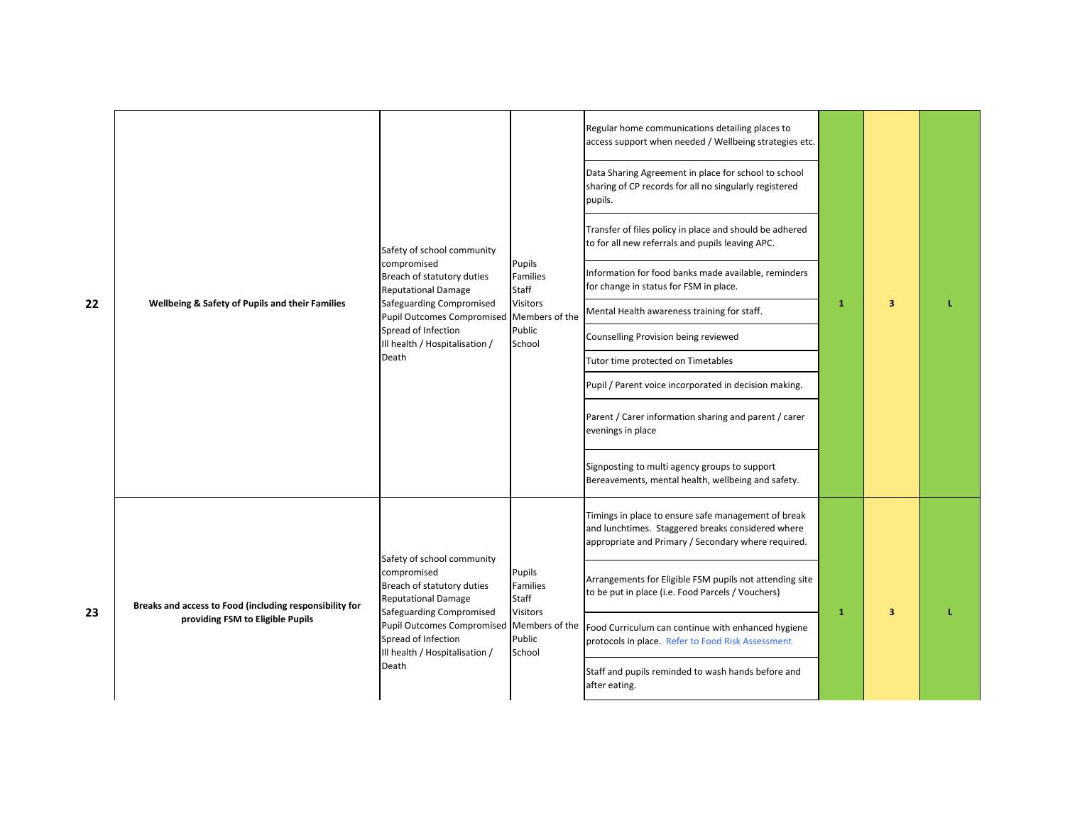| 22 | Wellbeing & Safety of Pupils and their Families                                             | Safety of school community<br>compromised<br>Breach of statutory duties<br><b>Reputational Damage</b><br>Safeguarding Compromised<br><b>Pupil Outcomes Compromised</b><br>Spread of Infection<br>Ill health / Hospitalisation /<br>Death | Pupils<br>Families<br>Staff<br><b>Visitors</b><br>Members of the<br>Public<br>School | Regular home communications detailing places to<br>access support when needed / Wellbeing strategies etc.<br>Data Sharing Agreement in place for school to school<br>sharing of CP records for all no singularly registered<br>pupils.<br>Transfer of files policy in place and should be adhered<br>to for all new referrals and pupils leaving APC.<br>Information for food banks made available, reminders<br>for change in status for FSM in place.<br>Mental Health awareness training for staff.<br>Counselling Provision being reviewed<br>Tutor time protected on Timetables<br>Pupil / Parent voice incorporated in decision making.<br>Parent / Carer information sharing and parent / carer<br>evenings in place<br>Signposting to multi agency groups to support<br>Bereavements, mental health, wellbeing and safety. | $\mathbf{1}$ | 3                       |  |
|----|---------------------------------------------------------------------------------------------|------------------------------------------------------------------------------------------------------------------------------------------------------------------------------------------------------------------------------------------|--------------------------------------------------------------------------------------|------------------------------------------------------------------------------------------------------------------------------------------------------------------------------------------------------------------------------------------------------------------------------------------------------------------------------------------------------------------------------------------------------------------------------------------------------------------------------------------------------------------------------------------------------------------------------------------------------------------------------------------------------------------------------------------------------------------------------------------------------------------------------------------------------------------------------------|--------------|-------------------------|--|
| 23 | Breaks and access to Food (including responsibility for<br>providing FSM to Eligible Pupils | Safety of school community<br>compromised<br>Breach of statutory duties<br><b>Reputational Damage</b><br>Safeguarding Compromised<br><b>Pupil Outcomes Compromised</b><br>Spread of Infection<br>Ill health / Hospitalisation /<br>Death | Pupils<br>Families<br>Staff<br>Visitors<br>Members of the<br>Public<br>School        | Timings in place to ensure safe management of break<br>and lunchtimes. Staggered breaks considered where<br>appropriate and Primary / Secondary where required.<br>Arrangements for Eligible FSM pupils not attending site<br>to be put in place (i.e. Food Parcels / Vouchers)<br>Food Curriculum can continue with enhanced hygiene<br>protocols in place. Refer to Food Risk Assessment<br>Staff and pupils reminded to wash hands before and<br>after eating.                                                                                                                                                                                                                                                                                                                                                                  | $\mathbf{1}$ | $\overline{\mathbf{3}}$ |  |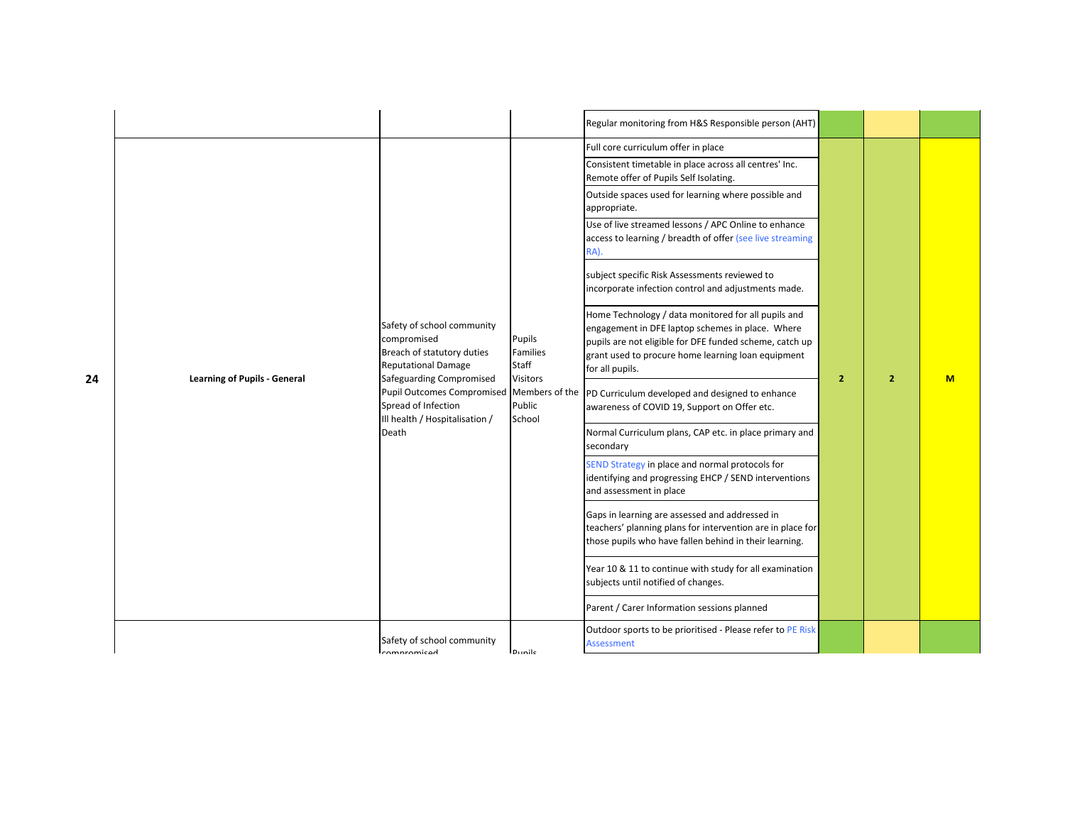|    |                                     |                                                                                                                                   |                                                | Regular monitoring from H&S Responsible person (AHT)                                                                                                                                                                                        |                |                |   |
|----|-------------------------------------|-----------------------------------------------------------------------------------------------------------------------------------|------------------------------------------------|---------------------------------------------------------------------------------------------------------------------------------------------------------------------------------------------------------------------------------------------|----------------|----------------|---|
|    |                                     |                                                                                                                                   |                                                | Full core curriculum offer in place                                                                                                                                                                                                         |                |                |   |
|    |                                     |                                                                                                                                   |                                                | Consistent timetable in place across all centres' Inc.<br>Remote offer of Pupils Self Isolating.                                                                                                                                            |                |                |   |
|    |                                     |                                                                                                                                   |                                                | Outside spaces used for learning where possible and<br>appropriate.                                                                                                                                                                         |                |                |   |
|    |                                     |                                                                                                                                   |                                                | Use of live streamed lessons / APC Online to enhance<br>access to learning / breadth of offer (see live streaming<br>RA).                                                                                                                   |                |                |   |
|    |                                     |                                                                                                                                   |                                                | subject specific Risk Assessments reviewed to<br>incorporate infection control and adjustments made.                                                                                                                                        |                |                |   |
| 24 | <b>Learning of Pupils - General</b> | Safety of school community<br>compromised<br>Breach of statutory duties<br><b>Reputational Damage</b><br>Safeguarding Compromised | Pupils<br>Families<br>Staff<br><b>Visitors</b> | Home Technology / data monitored for all pupils and<br>engagement in DFE laptop schemes in place. Where<br>pupils are not eligible for DFE funded scheme, catch up<br>grant used to procure home learning loan equipment<br>for all pupils. | $\overline{2}$ | $\overline{2}$ | M |
|    |                                     | Pupil Outcomes Compromised Members of the<br>Spread of Infection<br>Ill health / Hospitalisation /                                | Public<br>School                               | PD Curriculum developed and designed to enhance<br>awareness of COVID 19, Support on Offer etc.                                                                                                                                             |                |                |   |
|    | Death                               |                                                                                                                                   |                                                | Normal Curriculum plans, CAP etc. in place primary and<br>secondary                                                                                                                                                                         |                |                |   |
|    |                                     |                                                                                                                                   |                                                | SEND Strategy in place and normal protocols for<br>identifying and progressing EHCP / SEND interventions<br>and assessment in place                                                                                                         |                |                |   |
|    |                                     |                                                                                                                                   |                                                | Gaps in learning are assessed and addressed in<br>teachers' planning plans for intervention are in place for<br>those pupils who have fallen behind in their learning.                                                                      |                |                |   |
|    |                                     |                                                                                                                                   |                                                | Year 10 & 11 to continue with study for all examination<br>subjects until notified of changes.                                                                                                                                              |                |                |   |
|    |                                     |                                                                                                                                   |                                                | Parent / Carer Information sessions planned                                                                                                                                                                                                 |                |                |   |
|    |                                     | Safety of school community<br>compromised                                                                                         | <b>Dunile</b>                                  | Outdoor sports to be prioritised - Please refer to PE Risk<br><b>Assessment</b>                                                                                                                                                             |                |                |   |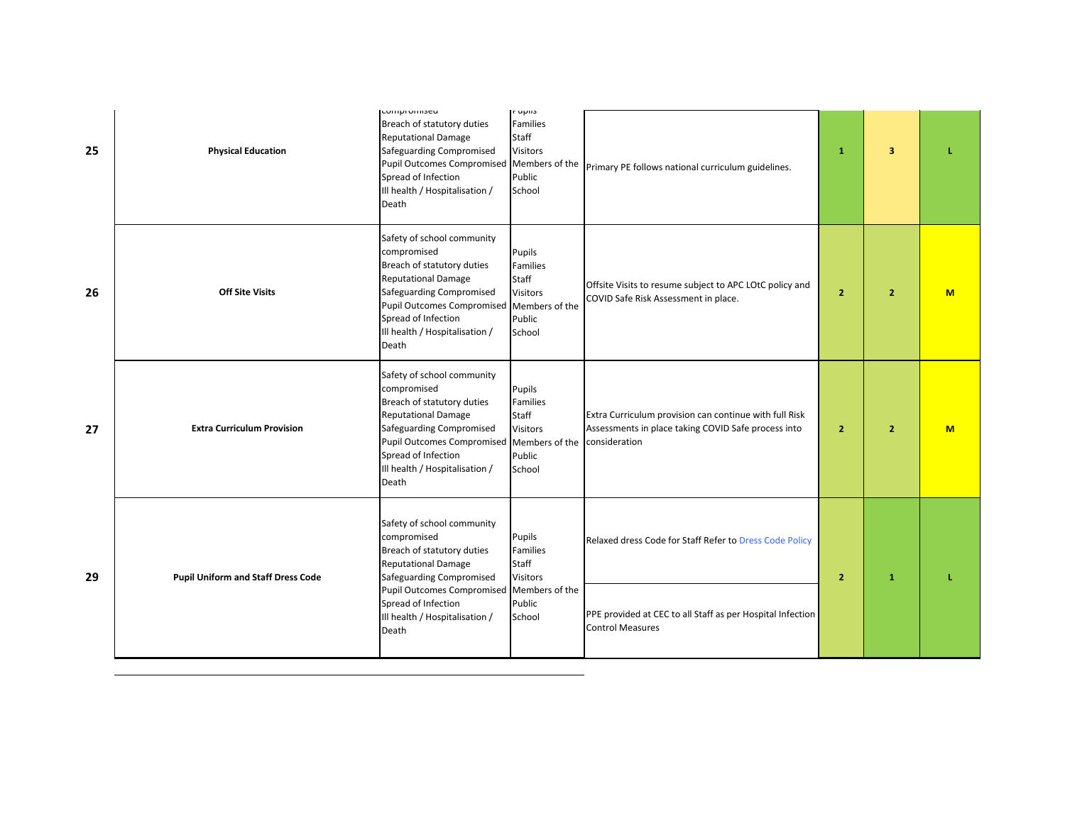| 25 | <b>Physical Education</b>                 | <b>LUTTIPFUTTISEU</b><br>Breach of statutory duties<br><b>Reputational Damage</b><br>Safeguarding Compromised<br><b>Pupil Outcomes Compromised</b><br>Spread of Infection<br>Ill health / Hospitalisation /<br>Death                     | <b>Irupiis</b><br>Families<br>Staff<br><b>Visitors</b><br>Members of the<br>Public<br>School | Primary PE follows national curriculum guidelines.                                                                             | $\mathbf{1}$   | 3              |   |
|----|-------------------------------------------|------------------------------------------------------------------------------------------------------------------------------------------------------------------------------------------------------------------------------------------|----------------------------------------------------------------------------------------------|--------------------------------------------------------------------------------------------------------------------------------|----------------|----------------|---|
| 26 | <b>Off Site Visits</b>                    | Safety of school community<br>compromised<br>Breach of statutory duties<br><b>Reputational Damage</b><br>Safeguarding Compromised<br><b>Pupil Outcomes Compromised</b><br>Spread of Infection<br>Ill health / Hospitalisation /<br>Death | Pupils<br>Families<br>Staff<br><b>Visitors</b><br>Members of the<br>Public<br>School         | Offsite Visits to resume subject to APC LOtC policy and<br>COVID Safe Risk Assessment in place.                                | $\overline{2}$ | $\overline{2}$ | M |
| 27 | <b>Extra Curriculum Provision</b>         | Safety of school community<br>compromised<br>Breach of statutory duties<br><b>Reputational Damage</b><br>Safeguarding Compromised<br><b>Pupil Outcomes Compromised</b><br>Spread of Infection<br>Ill health / Hospitalisation /<br>Death | Pupils<br>Families<br>Staff<br><b>Visitors</b><br>Members of the<br>Public<br>School         | Extra Curriculum provision can continue with full Risk<br>Assessments in place taking COVID Safe process into<br>consideration | $\overline{2}$ | $\overline{2}$ | M |
| 29 | <b>Pupil Uniform and Staff Dress Code</b> | Safety of school community<br>compromised<br>Breach of statutory duties<br><b>Reputational Damage</b><br>Safeguarding Compromised                                                                                                        | Pupils<br><b>Families</b><br>Staff<br><b>Visitors</b>                                        | Relaxed dress Code for Staff Refer to Dress Code Policy                                                                        | $\overline{2}$ | $\mathbf{1}$   |   |
|    |                                           | Pupil Outcomes Compromised Members of the<br>Spread of Infection<br>Ill health / Hospitalisation /<br>Death                                                                                                                              | Public<br>School                                                                             | PPE provided at CEC to all Staff as per Hospital Infection<br><b>Control Measures</b>                                          |                |                |   |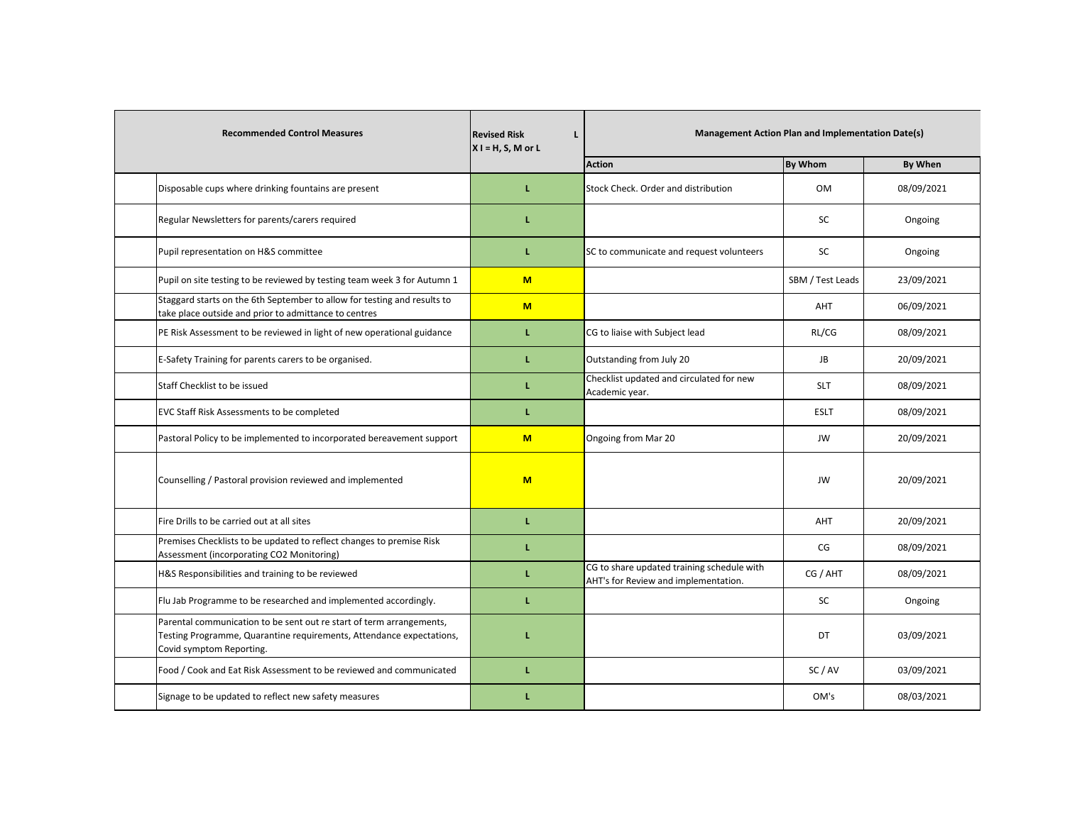| <b>Recommended Control Measures</b>                                                                                                                                      | <b>Revised Risk</b><br>L<br>$X I = H, S, M$ or L |                                                                                    |                  | <b>Management Action Plan and Implementation Date(s)</b> |  |  |
|--------------------------------------------------------------------------------------------------------------------------------------------------------------------------|--------------------------------------------------|------------------------------------------------------------------------------------|------------------|----------------------------------------------------------|--|--|
|                                                                                                                                                                          |                                                  | <b>Action</b>                                                                      | <b>By Whom</b>   | By When                                                  |  |  |
| Disposable cups where drinking fountains are present                                                                                                                     | L                                                | Stock Check. Order and distribution                                                | <b>OM</b>        | 08/09/2021                                               |  |  |
| Regular Newsletters for parents/carers required                                                                                                                          | L                                                |                                                                                    | SC               | Ongoing                                                  |  |  |
| Pupil representation on H&S committee                                                                                                                                    | L                                                | SC to communicate and request volunteers                                           | SC               | Ongoing                                                  |  |  |
| Pupil on site testing to be reviewed by testing team week 3 for Autumn 1                                                                                                 | M                                                |                                                                                    | SBM / Test Leads | 23/09/2021                                               |  |  |
| Staggard starts on the 6th September to allow for testing and results to<br>take place outside and prior to admittance to centres                                        | M                                                |                                                                                    | AHT              | 06/09/2021                                               |  |  |
| PE Risk Assessment to be reviewed in light of new operational guidance                                                                                                   | L                                                | CG to liaise with Subject lead                                                     | RL/CG            | 08/09/2021                                               |  |  |
| E-Safety Training for parents carers to be organised.                                                                                                                    | L                                                | Outstanding from July 20                                                           | JB               | 20/09/2021                                               |  |  |
| Staff Checklist to be issued                                                                                                                                             | L                                                | Checklist updated and circulated for new<br>Academic year.                         | <b>SLT</b>       | 08/09/2021                                               |  |  |
| EVC Staff Risk Assessments to be completed                                                                                                                               | L                                                |                                                                                    | <b>ESLT</b>      | 08/09/2021                                               |  |  |
| Pastoral Policy to be implemented to incorporated bereavement support                                                                                                    | $M$                                              | Ongoing from Mar 20                                                                | JW               | 20/09/2021                                               |  |  |
| Counselling / Pastoral provision reviewed and implemented                                                                                                                | $M$                                              |                                                                                    | JW               | 20/09/2021                                               |  |  |
| Fire Drills to be carried out at all sites                                                                                                                               | L                                                |                                                                                    | AHT              | 20/09/2021                                               |  |  |
| Premises Checklists to be updated to reflect changes to premise Risk<br>Assessment (incorporating CO2 Monitoring)                                                        | L                                                |                                                                                    | CG               | 08/09/2021                                               |  |  |
| H&S Responsibilities and training to be reviewed                                                                                                                         | L                                                | CG to share updated training schedule with<br>AHT's for Review and implementation. | CG / AHT         | 08/09/2021                                               |  |  |
| Flu Jab Programme to be researched and implemented accordingly.                                                                                                          | L                                                |                                                                                    | SC               | Ongoing                                                  |  |  |
| Parental communication to be sent out re start of term arrangements,<br>Testing Programme, Quarantine requirements, Attendance expectations,<br>Covid symptom Reporting. | L                                                |                                                                                    | DT               | 03/09/2021                                               |  |  |
| Food / Cook and Eat Risk Assessment to be reviewed and communicated                                                                                                      | L                                                |                                                                                    | SC/AV            | 03/09/2021                                               |  |  |
| Signage to be updated to reflect new safety measures                                                                                                                     | L                                                |                                                                                    | OM's             | 08/03/2021                                               |  |  |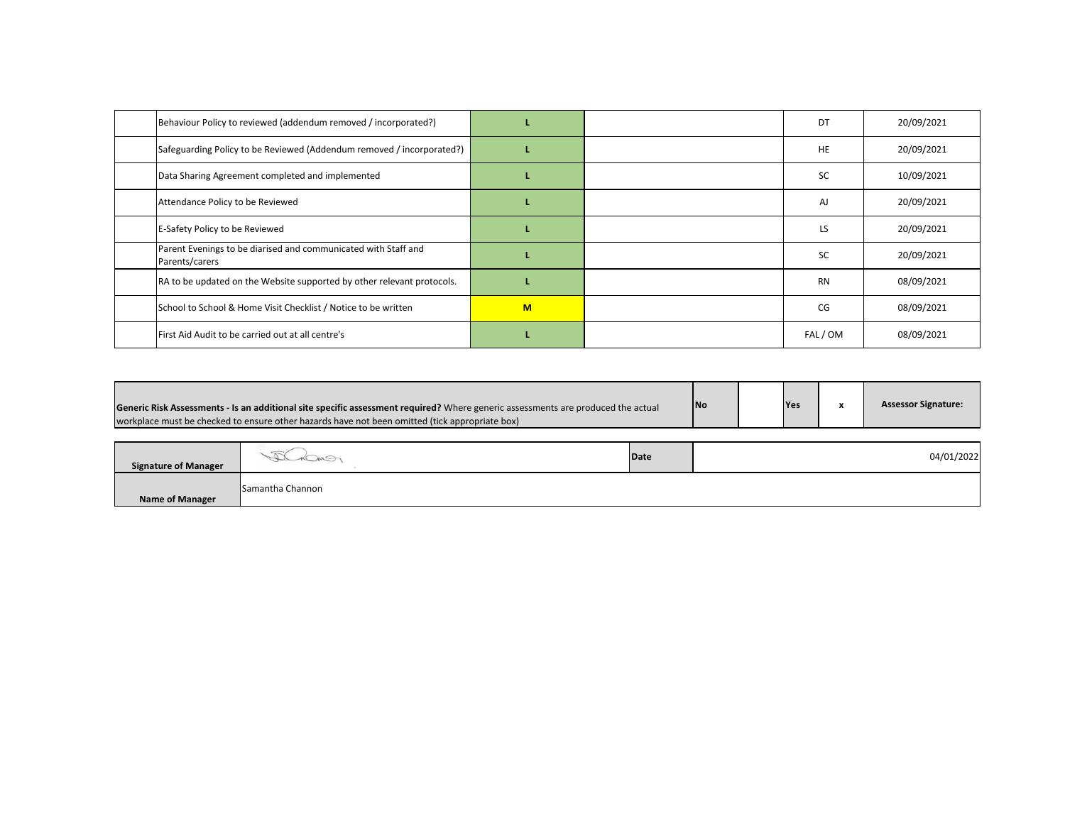| Behaviour Policy to reviewed (addendum removed / incorporated?)                  |   | DT        | 20/09/2021 |
|----------------------------------------------------------------------------------|---|-----------|------------|
| Safeguarding Policy to be Reviewed (Addendum removed / incorporated?)            |   | HE        | 20/09/2021 |
| Data Sharing Agreement completed and implemented                                 |   | <b>SC</b> | 10/09/2021 |
| Attendance Policy to be Reviewed                                                 |   | AJ        | 20/09/2021 |
| E-Safety Policy to be Reviewed                                                   |   | LS        | 20/09/2021 |
| Parent Evenings to be diarised and communicated with Staff and<br>Parents/carers |   | <b>SC</b> | 20/09/2021 |
| RA to be updated on the Website supported by other relevant protocols.           |   | <b>RN</b> | 08/09/2021 |
| School to School & Home Visit Checklist / Notice to be written                   | M | CG        | 08/09/2021 |
| First Aid Audit to be carried out at all centre's                                |   | FAL / OM  | 08/09/2021 |

| Generic Risk Assessments - Is an additional site specific assessment required? Where generic assessments are produced the actual<br>workplace must be checked to ensure other hazards have not been omitted (tick appropriate box) |                   |      | <b>INo</b> | Yes | x | <b>Assessor Signature:</b> |
|------------------------------------------------------------------------------------------------------------------------------------------------------------------------------------------------------------------------------------|-------------------|------|------------|-----|---|----------------------------|
| <b>Signature of Manager</b>                                                                                                                                                                                                        |                   | Date |            |     |   | 04/01/2022                 |
| <b>Name of Manager</b>                                                                                                                                                                                                             | ISamantha Channon |      |            |     |   |                            |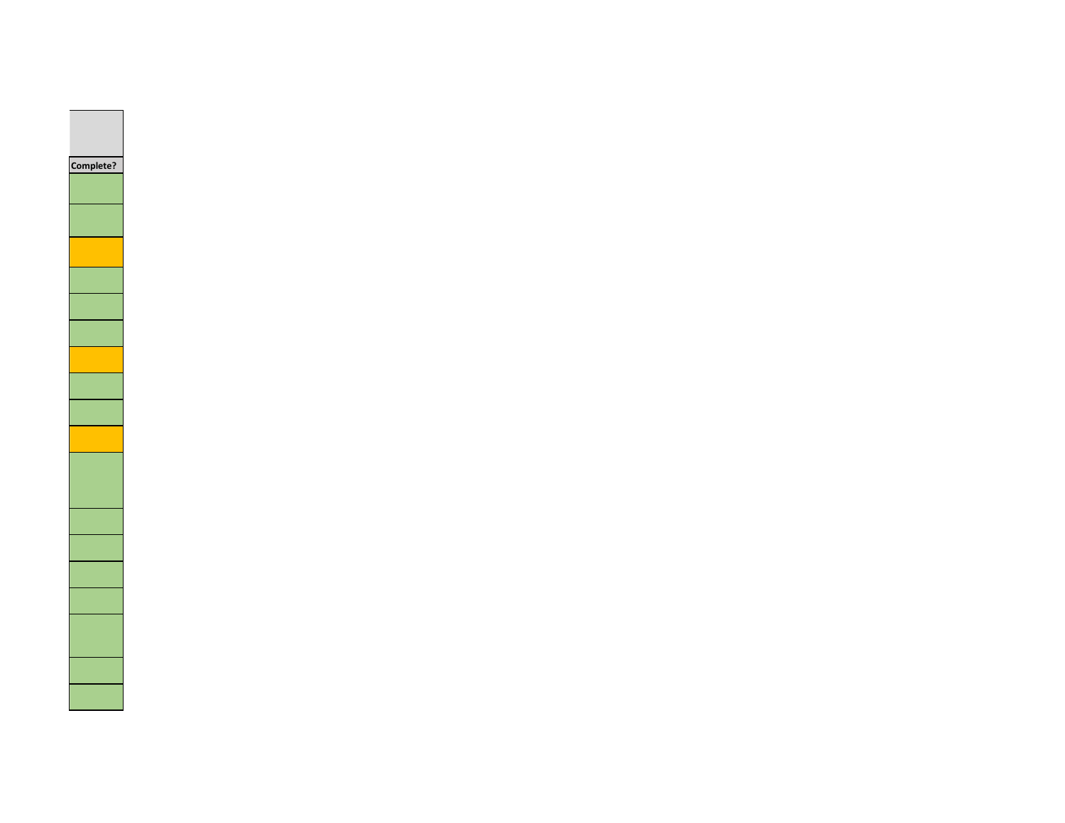